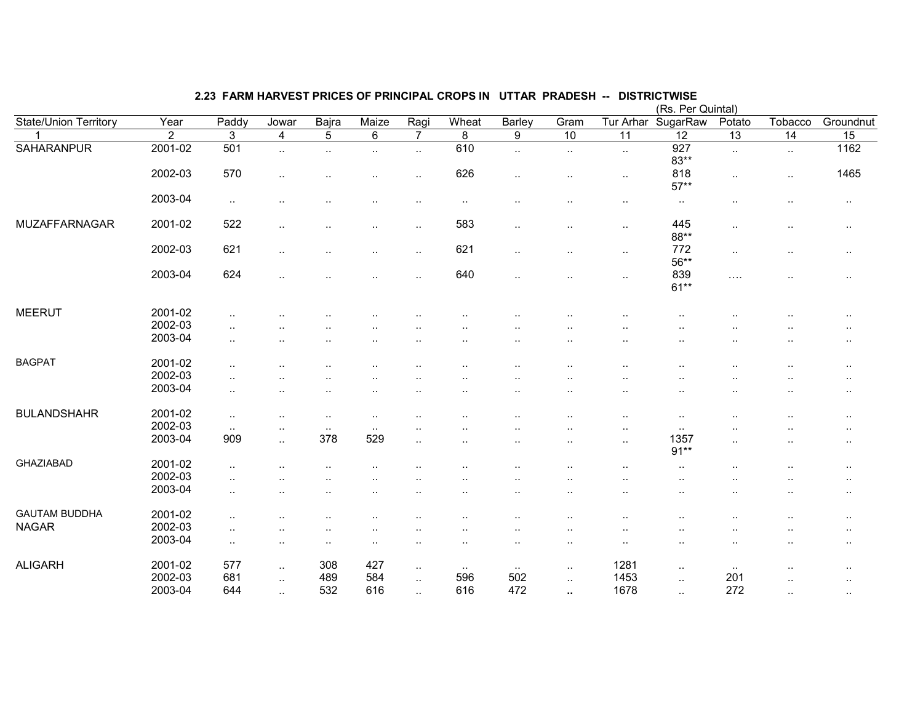| 2.23 FARM HARVEST PRICES OF PRINCIPAL CROPS IN UTTAR PRADESH -- DISTRICTWISE |
|------------------------------------------------------------------------------|
|------------------------------------------------------------------------------|

|                       |                   |                |                      |                      |                      |                      |        |                      |                      |                      | (Rs. Per Quintal) |                      |                      |                      |
|-----------------------|-------------------|----------------|----------------------|----------------------|----------------------|----------------------|--------|----------------------|----------------------|----------------------|-------------------|----------------------|----------------------|----------------------|
| State/Union Territory | $\overline{Year}$ | Paddy          | Jowar                | Bajra                | Maize                | Ragi                 | Wheat  | <b>Barley</b>        | Gram                 | Tur Arhar            | SugarRaw          | Potato               | Tobacco              | Groundnut            |
|                       | $\overline{2}$    | $\overline{3}$ | 4                    | $\overline{5}$       | $\overline{6}$       | $\overline{7}$       | 8      | $\boldsymbol{9}$     | 10                   | $\overline{11}$      | 12                | 13                   | $\overline{14}$      | 15                   |
| <b>SAHARANPUR</b>     | 2001-02           | 501            | $\sim$               | $\ddotsc$            | $\ddotsc$            | $\ddotsc$            | 610    | $\ddotsc$            | $\sim$               | $\sim$               | 927<br>$83**$     | $\sim$               | $\sim$               | 1162                 |
|                       | 2002-03           | 570            | $\ddot{\phantom{a}}$ |                      | $\ddot{\phantom{a}}$ | ٠.                   | 626    | $\ddot{\phantom{a}}$ | $\cdot$ .            | $\sim$               | 818<br>$57**$     | $\ddotsc$            | $\sim$               | 1465                 |
|                       | 2003-04           | $\sim$         |                      |                      |                      |                      |        |                      |                      | $\sim$               | $\sim$            | $\ddotsc$            |                      | $\sim$               |
| MUZAFFARNAGAR         | 2001-02           | 522            | ٠.                   |                      |                      | ٠.                   | 583    | $\cdot$ .            | $\cdot$ .            | $\sim$               | 445<br>88**       | $\ddot{\phantom{a}}$ |                      | $\sim$               |
|                       | 2002-03           | 621            |                      |                      |                      | $\ddot{\phantom{a}}$ | 621    | $\ddot{\phantom{a}}$ | $\cdot$ .            | $\cdots$             | 772<br>56**       | $\cdot$ .            | ٠.                   | $\cdot$ .            |
|                       | 2003-04           | 624            | $\ddot{\phantom{a}}$ |                      |                      | $\ddot{\phantom{a}}$ | 640    | $\ddot{\phantom{a}}$ | $\ddotsc$            | $\ldots$             | 839<br>$61**$     | $\cdots$             |                      | $\ddotsc$            |
| <b>MEERUT</b>         | 2001-02           |                |                      |                      |                      |                      |        |                      |                      |                      |                   |                      |                      | $\sim$ $\sim$        |
|                       | 2002-03           | $\cdot$ .      |                      |                      |                      |                      |        |                      | $\ddot{\phantom{0}}$ |                      |                   |                      |                      | $\cdot$ .            |
|                       | 2003-04           | $\cdot$ .      |                      |                      |                      |                      |        |                      |                      |                      |                   |                      |                      | $\sim$               |
| <b>BAGPAT</b>         | 2001-02           | $\ddotsc$      |                      |                      |                      |                      |        |                      |                      |                      |                   |                      |                      | $\ddot{\phantom{a}}$ |
|                       | 2002-03           | $\ddotsc$      |                      |                      |                      |                      |        |                      |                      |                      |                   |                      |                      | $\sim$               |
|                       | 2003-04           | $\ddotsc$      |                      |                      |                      |                      |        |                      | ٠.                   |                      |                   | $\ddot{\phantom{a}}$ |                      | $\cdot$ .            |
| <b>BULANDSHAHR</b>    | 2001-02           | $\ddotsc$      | $\ddot{\phantom{a}}$ | $\ddot{\phantom{a}}$ | $\ddot{\phantom{a}}$ |                      |        |                      |                      | $\ddotsc$            | $\cdot$ .         | $\cdot$ .            |                      |                      |
|                       | 2002-03           | $\sim$         |                      | $\cdot$ .            | $\sim$               |                      |        |                      |                      | ٠.                   | $\ddotsc$         |                      |                      | $\cdot$ .            |
|                       | 2003-04           | 909            | $\ddot{\phantom{a}}$ | 378                  | 529                  | $\ddot{\phantom{a}}$ |        | $\ddot{\phantom{a}}$ | $\ddot{\phantom{a}}$ | $\ddotsc$            | 1357<br>$91**$    | $\ddot{\phantom{a}}$ |                      | $\ddot{\phantom{a}}$ |
| <b>GHAZIABAD</b>      | 2001-02           | $\cdot$ .      |                      |                      |                      |                      |        |                      |                      |                      | $\cdot$ .         |                      |                      | $\cdot$ .            |
|                       | 2002-03           |                |                      |                      |                      |                      |        |                      |                      |                      |                   |                      |                      | $\cdot$ .            |
|                       | 2003-04           |                |                      |                      |                      |                      |        |                      | $\cdot$ .            | ٠.                   | $\sim$            | $\ddot{\phantom{a}}$ |                      | $\cdot$ .            |
| <b>GAUTAM BUDDHA</b>  | 2001-02           | $\ddotsc$      |                      |                      |                      |                      |        |                      |                      |                      |                   |                      |                      | $\sim$ $\sim$        |
| <b>NAGAR</b>          | 2002-03           | $\ddotsc$      |                      |                      |                      |                      |        |                      |                      |                      |                   |                      |                      | $\sim$ $\sim$        |
|                       | 2003-04           | $\sim$         |                      |                      |                      |                      |        |                      | $\cdot$ .            | $\ddot{\phantom{a}}$ | $\cdot$ .         | $\ddot{\phantom{a}}$ |                      | $\cdots$             |
| <b>ALIGARH</b>        | 2001-02           | 577            | $\ddotsc$            | 308                  | 427                  | $\ldots$             | $\sim$ | $\sim$               | $\sim$               | 1281                 | $\ddotsc$         | $\sim$               |                      | $\sim$ $\sim$        |
|                       | 2002-03           | 681            | $\ddotsc$            | 489                  | 584                  | $\ddotsc$            | 596    | 502                  | $\ddotsc$            | 1453                 | $\cdot$ .         | 201                  |                      | $\cdot$ .            |
|                       | 2003-04           | 644            | $\sim$               | 532                  | 616                  | $\ddotsc$            | 616    | 472                  | $\ddot{\phantom{1}}$ | 1678                 | $\sim$            | 272                  | $\ddot{\phantom{a}}$ | $\cdot$ .            |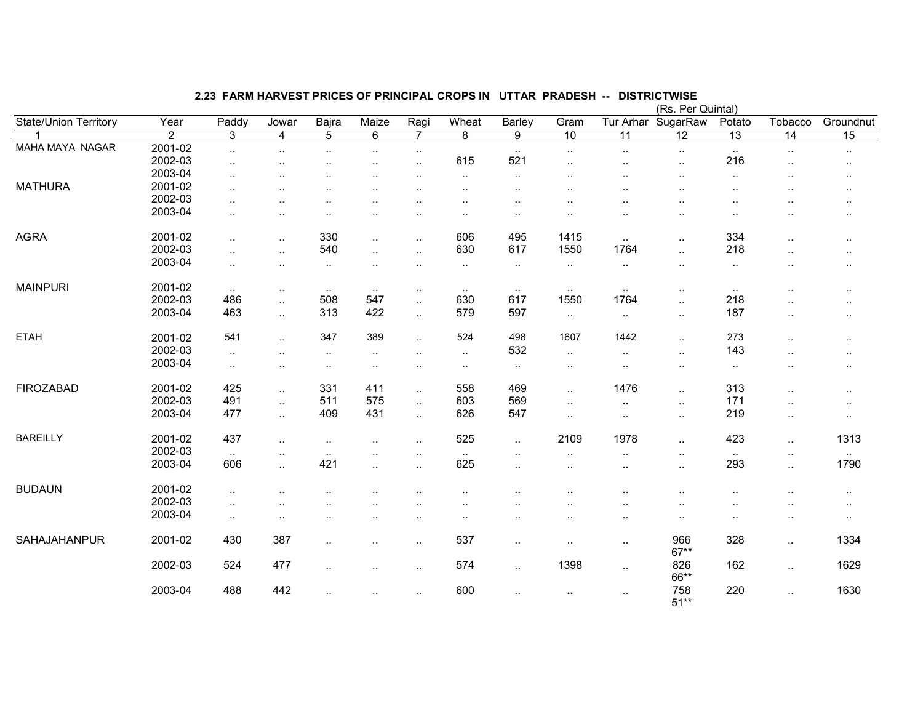|                        |         |                      |                |                      |               |                      |                      |                      |                      |                      | (Rs. Per Quintal)    |                 |                        |                 |
|------------------------|---------|----------------------|----------------|----------------------|---------------|----------------------|----------------------|----------------------|----------------------|----------------------|----------------------|-----------------|------------------------|-----------------|
| State/Union Territory  | Year    | Paddy                | Jowar          | Bajra                | Maize         | Ragi                 | Wheat                | Barley               | Gram                 | Tur Arhar            | SugarRaw             | Potato          | Tobacco                | Groundnut       |
|                        | 2       | 3                    | $\overline{4}$ | 5                    | 6             | $\overline{7}$       | 8                    | $9\,$                | 10                   | $\overline{11}$      | $\overline{12}$      | $\overline{13}$ | $\overline{14}$        | $\overline{15}$ |
| <b>MAHA MAYA NAGAR</b> | 2001-02 | $\ddotsc$            | $\sim$         | $\sim$               | $\sim$        | $\cdot$ .            |                      | $\cdot$ .            | $\cdot$ .            | $\sim$               | $\sim$               | $\sim$          | $\sim$                 | $\sim$          |
|                        | 2002-03 | $\ddotsc$            | $\cdot$ .      | $\ddot{\phantom{a}}$ | $\cdot$ .     | $\ldots$             | 615                  | 521                  | $\ddot{\phantom{a}}$ | $\ddot{\phantom{a}}$ | $\ddotsc$            | 216             | $\cdot$ .              | $\sim$          |
|                        | 2003-04 | $\ddotsc$            |                |                      |               | $\ddot{\phantom{0}}$ | $\ldots$             | $\ddot{\phantom{a}}$ | $\cdot$ .            |                      |                      | $\cdot$ .       | $\ddot{\phantom{a}}$   | $\cdot$ .       |
| <b>MATHURA</b>         | 2001-02 | $\ddot{\phantom{a}}$ | $\cdot$ .      |                      | $\cdot$ .     |                      |                      | $\ddot{\phantom{a}}$ |                      |                      |                      |                 | $\cdot$ .              | $\sim$ $\sim$   |
|                        | 2002-03 | $\ddotsc$            |                |                      |               |                      |                      | $\ddot{\phantom{a}}$ | $\cdot$ .            |                      |                      | ٠.              | $\ddot{\phantom{a}}$   | $\cdot$ .       |
|                        | 2003-04 | ٠.                   |                |                      |               |                      | $\ddot{\phantom{a}}$ |                      | $\cdot$ .            |                      |                      |                 |                        | $\cdot$ .       |
|                        |         |                      |                |                      |               |                      |                      |                      |                      |                      |                      |                 |                        |                 |
| <b>AGRA</b>            | 2001-02 | $\ddotsc$            | $\ddotsc$      | 330                  | $\ddotsc$     | $\cdot$ .            | 606                  | 495                  | 1415                 | $\sim$               | $\ddotsc$            | 334             | $\ddotsc$              | $\cdots$        |
|                        | 2002-03 | $\ddotsc$            | $\ddotsc$      | 540                  | $\ddotsc$     | $\ldots$             | 630                  | 617                  | 1550                 | 1764                 | $\ldots$             | 218             | $\ddot{\phantom{a}}$ . | $\cdot$ .       |
|                        | 2003-04 | $\ddotsc$            | $\cdots$       | $\sim$               | $\cdot$ .     | $\cdot$ .            | $\cdot$ .            | $\cdot$ .            | $\sim$               | $\sim$               | $\sim$               | $\sim$          | $\cdot$ .              | $\cdots$        |
|                        |         |                      |                |                      |               |                      |                      |                      |                      |                      |                      |                 |                        |                 |
| <b>MAINPURI</b>        | 2001-02 | $\sim$               | $\cdot$ .      | $\sim$ $\sim$        | $\sim$ $\sim$ | $\cdot$ .            | $\sim$               | $\sim$               | $\sim$               | $\sim$               | $\ddot{\phantom{a}}$ | $\sim$          | $\ddot{\phantom{a}}$   | $\cdot$ .       |
|                        | 2002-03 | 486                  | $\ddotsc$      | 508                  | 547           | $\ldots$             | 630                  | 617                  | 1550                 | 1764                 | $\ddotsc$            | 218             | $\ddotsc$              | $\sim$          |
|                        | 2003-04 | 463                  | $\ddotsc$      | 313                  | 422           | $\ddotsc$            | 579                  | 597                  | $\ldots$             | $\ddotsc$            | $\ddotsc$            | 187             | $\ddotsc$              | $\cdot$ .       |
|                        |         |                      |                |                      |               |                      |                      |                      |                      |                      |                      |                 |                        |                 |
| <b>ETAH</b>            | 2001-02 | 541                  | $\ddotsc$      | 347                  | 389           | $\ddotsc$            | 524                  | 498                  | 1607                 | 1442                 | $\ddotsc$            | 273             | $\ddotsc$              | $\sim$          |
|                        | 2002-03 | $\ddotsc$            | $\cdot$ .      | $\sim$               | $\sim$        | $\cdot$ .            | $\ldots$             | 532                  | $\sim$               | $\sim$               | $\sim$               | 143             | $\cdot$ .              | $\cdot$ .       |
|                        | 2003-04 | $\ddotsc$            | $\sim$         | $\sim$               | $\sim$ $\sim$ |                      | $\cdot$ .            | $\cdot$ .            | $\sim$               | $\cdot$ .            | $\sim$               | $\sim$          | $\sim$ $\sim$          | $\cdots$        |
|                        |         |                      |                |                      |               |                      |                      |                      |                      |                      |                      |                 |                        |                 |
| <b>FIROZABAD</b>       | 2001-02 | 425                  | $\ddotsc$      | 331                  | 411           | $\ldots$             | 558                  | 469                  | $\ddotsc$            | 1476                 | $\ddot{\phantom{a}}$ | 313             | $\ddotsc$              | $\cdots$        |
|                        | 2002-03 | 491                  | $\ddotsc$      | 511                  | 575           | $\ldots$             | 603                  | 569                  | $\cdot$ .            | $\sim$               | $\cdot$ .            | 171             | $\ddot{\phantom{a}}$ . | $\cdots$        |
|                        | 2003-04 | 477                  | $\ddotsc$      | 409                  | 431           | $\ddotsc$            | 626                  | 547                  | $\cdot$ .            | $\ddotsc$            | $\ddotsc$            | 219             | $\sim$                 | $\sim$          |
|                        |         |                      |                |                      |               |                      |                      |                      |                      |                      |                      |                 |                        |                 |
| <b>BAREILLY</b>        | 2001-02 | 437                  | $\ddotsc$      | $\ldots$             | $\cdot$ .     | $\ldots$             | 525                  | $\ddotsc$            | 2109                 | 1978                 | $\ddot{\phantom{a}}$ | 423             | $\ddotsc$              | 1313            |
|                        | 2002-03 | $\sim$               | $\cdot$ .      | $\sim$               | $\cdot$ .     | $\ddot{\phantom{0}}$ | $\sim$               | $\cdot$ .            | $\cdot$ .            | $\cdot$ .            | $\sim$               | $\sim$          | $\cdot$ .              | $\sim$          |
|                        | 2003-04 | 606                  | $\ddotsc$      | 421                  | $\ddotsc$     | $\ddotsc$            | 625                  | $\cdot$ .            | $\cdot$ .            | $\cdot$ .            | $\sim$ $\sim$        | 293             | $\ddotsc$              | 1790            |
|                        |         |                      |                |                      |               |                      |                      |                      |                      |                      |                      |                 |                        |                 |
| <b>BUDAUN</b>          | 2001-02 | $\ddotsc$            |                |                      |               |                      |                      |                      |                      |                      |                      |                 |                        | $\cdots$        |
|                        | 2002-03 | $\ddotsc$            |                |                      |               |                      |                      |                      |                      |                      |                      |                 |                        | $\cdot$ .       |
|                        | 2003-04 | $\sim$               |                |                      |               |                      |                      | $\cdot$ .            |                      | . .                  |                      |                 | $\cdot$ .              | $\cdot$ .       |
|                        |         |                      |                |                      |               |                      |                      |                      |                      |                      |                      |                 |                        |                 |
| SAHAJAHANPUR           | 2001-02 | 430                  | 387            | $\cdot$ .            | $\cdot$ .     | $\ldots$             | 537                  | $\ddot{\phantom{a}}$ | $\ddot{\phantom{a}}$ | $\sim$               | 966                  | 328             | $\sim$                 | 1334            |
|                        |         |                      |                |                      |               |                      |                      |                      |                      |                      | $67**$               |                 |                        |                 |
|                        | 2002-03 | 524                  | 477            | $\ddotsc$            | $\cdot$ .     | $\cdot$ .            | 574                  | $\ddot{\phantom{a}}$ | 1398                 | $\ddotsc$            | 826                  | 162             | $\ddotsc$              | 1629            |
|                        |         |                      |                |                      |               |                      |                      |                      |                      |                      | 66**                 |                 |                        |                 |
|                        | 2003-04 | 488                  | 442            |                      |               | $\cdot$ .            | 600                  | $\ddot{\phantom{a}}$ | $\sim$               | $\cdot$ .            | 758                  | 220             | $\ddotsc$              | 1630            |
|                        |         |                      |                |                      |               |                      |                      |                      |                      |                      | $51**$               |                 |                        |                 |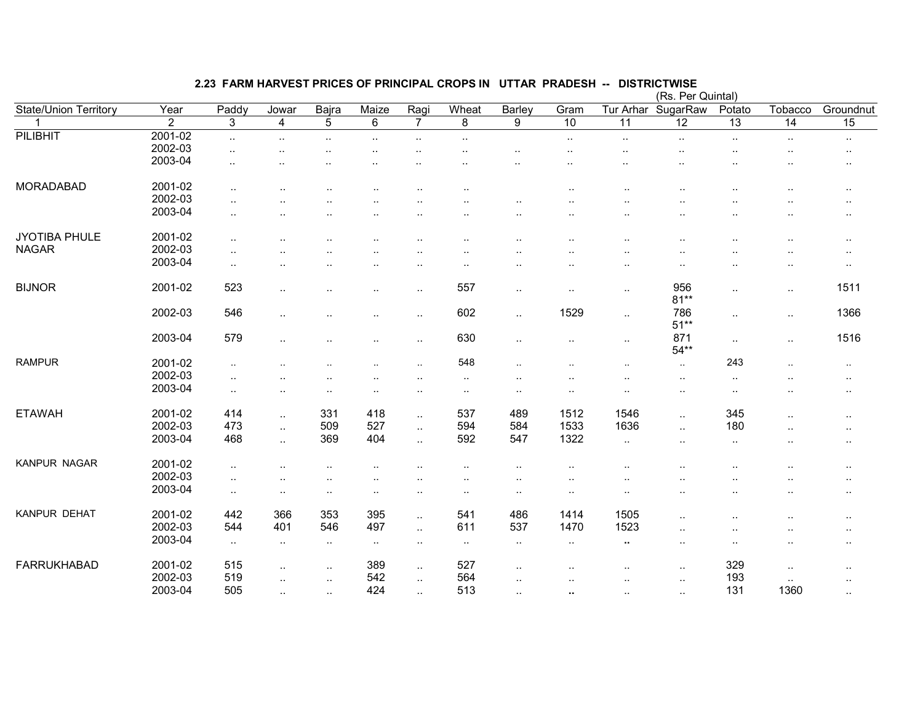|                       |                |                      |                      |           |           |                |                      |                      |                      |                      | (Rs. Per Quintal) |                        |           |                      |
|-----------------------|----------------|----------------------|----------------------|-----------|-----------|----------------|----------------------|----------------------|----------------------|----------------------|-------------------|------------------------|-----------|----------------------|
| State/Union Territory | Year           | Paddy                | Jowar                | Bajra     | Maize     | Ragi           | Wheat                | Barley               | Gram                 | Tur Arhar            | SugarRaw          | Potato                 | Tobacco   | Groundnut            |
|                       | $\overline{2}$ | 3                    | 4                    | 5         | 6         | $\overline{7}$ | 8                    | 9                    | 10                   | 11                   | $\overline{12}$   | 13                     | 14        | 15                   |
| <b>PILIBHIT</b>       | 2001-02        | $\ddotsc$            | $\ddotsc$            | $\ddotsc$ | $\ddotsc$ | $\ddotsc$      | $\ddotsc$            |                      | $\ddotsc$            | $\ddotsc$            | $\ldots$          | $\sim$                 | $\sim$    | $\sim$               |
|                       | 2002-03        | $\ddot{\phantom{a}}$ |                      |           |           |                |                      |                      |                      |                      |                   |                        |           | $\cdot$ .            |
|                       | 2003-04        |                      |                      |           |           |                |                      |                      |                      |                      |                   |                        |           |                      |
|                       |                |                      |                      |           |           |                |                      |                      |                      |                      |                   |                        |           |                      |
| <b>MORADABAD</b>      | 2001-02        | $\ddot{\phantom{1}}$ |                      |           |           |                | $\ddot{\phantom{a}}$ |                      | ٠.                   |                      |                   |                        |           | $\cdot$ .            |
|                       | 2002-03        |                      |                      |           |           |                |                      |                      |                      |                      |                   |                        |           |                      |
|                       | 2003-04        | $\ddot{\phantom{a}}$ |                      |           |           |                |                      |                      |                      |                      |                   |                        |           | $\ddot{\phantom{1}}$ |
|                       |                |                      |                      |           |           |                |                      |                      |                      |                      |                   |                        |           |                      |
| <b>JYOTIBA PHULE</b>  | 2001-02        | $\ddot{\phantom{a}}$ |                      |           |           |                |                      |                      |                      |                      |                   |                        |           | $\cdot$ .            |
| <b>NAGAR</b>          | 2002-03        | $\sim$               |                      |           |           |                |                      |                      |                      |                      |                   |                        |           | $\cdot$ .            |
|                       | 2003-04        | $\sim$               |                      |           |           |                |                      |                      |                      | $\ddot{\phantom{a}}$ |                   |                        |           | $\ddotsc$            |
|                       |                |                      |                      |           |           |                |                      |                      |                      |                      |                   |                        |           |                      |
| <b>BIJNOR</b>         | 2001-02        | 523                  | $\ddot{\phantom{0}}$ |           |           |                | 557                  | $\cdot$ .            |                      | $\cdot$ .            | 956               | $\ddotsc$              | $\cdot$ . | 1511                 |
|                       |                |                      |                      |           |           |                |                      |                      |                      |                      | $81**$            |                        |           |                      |
|                       | 2002-03        | 546                  | $\ddotsc$            |           |           |                | 602                  | $\cdot$ .            | 1529                 | $\sim$               | 786               | $\cdot$ .              | $\sim$    | 1366                 |
|                       |                |                      |                      |           |           |                |                      |                      |                      |                      | $51**$            |                        |           |                      |
|                       | 2003-04        | 579                  | $\ddot{\phantom{a}}$ |           |           |                | 630                  | $\ddotsc$            | $\ddot{\phantom{a}}$ | $\ldots$             | 871               | $\sim$                 | $\ddotsc$ | 1516                 |
|                       |                |                      |                      |           |           |                |                      |                      |                      |                      | $54**$            |                        |           |                      |
| <b>RAMPUR</b>         | 2001-02        | $\ddotsc$            |                      |           |           | $\ddotsc$      | 548                  | $\ddotsc$            | $\ddotsc$            | ٠.                   | $\sim$            | 243                    | $\ddotsc$ | $\sim$               |
|                       | 2002-03        | $\ddotsc$            |                      |           |           |                | $\sim$               |                      |                      |                      | $\cdot$ .         | $\ddot{\phantom{1}}$ . |           | $\sim$               |
|                       | 2003-04        | $\ldots$             | $\cdot$ .            |           |           | . .            | $\cdot$ .            |                      | $\ddotsc$            |                      |                   | $\ddotsc$              |           | $\sim$               |
|                       |                |                      |                      |           |           |                |                      |                      |                      |                      |                   |                        |           |                      |
| <b>ETAWAH</b>         | 2001-02        | 414                  | $\sim$               | 331       | 418       | $\ddotsc$      | 537                  | 489                  | 1512                 | 1546                 | $\cdot$ .         | 345                    |           | $\ddotsc$            |
|                       | 2002-03        | 473                  | $\ddotsc$            | 509       | 527       | $\ldots$       | 594                  | 584                  | 1533                 | 1636                 |                   | 180                    |           | $\ddotsc$            |
|                       | 2003-04        | 468                  | $\sim$               | 369       | 404       | $\ddotsc$      | 592                  | 547                  | 1322                 | $\cdot$ .            | $\cdot$ .         | $\cdot$ .              |           | $\sim$ $\sim$        |
|                       |                |                      |                      |           |           |                |                      |                      |                      |                      |                   |                        |           |                      |
| KANPUR NAGAR          | 2001-02        | $\ddotsc$            |                      |           |           |                |                      |                      |                      |                      |                   |                        |           | $\ddot{\phantom{a}}$ |
|                       | 2002-03        | $\sim$               |                      |           |           |                |                      |                      |                      |                      |                   |                        |           | ٠.                   |
|                       | 2003-04        | $\sim$               | $\ddotsc$            |           |           |                | $\ddotsc$            | $\ddot{\phantom{a}}$ | $\sim$               |                      | . .               |                        |           | $\cdot$ .            |
|                       |                |                      |                      |           |           |                |                      |                      |                      |                      |                   |                        |           |                      |
| KANPUR DEHAT          | 2001-02        | 442                  | 366                  | 353       | 395       | $\ldots$       | 541                  | 486                  | 1414                 | 1505                 | $\cdot$           |                        |           | $\ddot{\phantom{a}}$ |
|                       | 2002-03        | 544                  | 401                  | 546       | 497       | $\ldots$       | 611                  | 537                  | 1470                 | 1523                 |                   |                        |           | $\sim$               |
|                       | 2003-04        | $\sim$               | $\sim$               | $\sim$    | $\sim$    | $\cdot$ .      | $\cdot$ .            | $\cdot$ .            | $\sim$               | $\ddot{\phantom{1}}$ | $\cdot$ .         | $\ddot{\phantom{1}}$ . |           | $\cdot$ .            |
|                       |                |                      |                      |           |           |                |                      |                      |                      |                      |                   |                        |           |                      |
| <b>FARRUKHABAD</b>    | 2001-02        | 515                  | $\ddotsc$            | $\cdot$ . | 389       | $\cdot$ .      | 527                  | $\cdot$ .            | . .                  | $\ddot{\phantom{a}}$ | $\cdot$ .         | 329                    | $\ldots$  | $\sim$ $\sim$        |
|                       | 2002-03        | 519                  |                      | $\cdot$ . | 542       |                | 564                  |                      |                      |                      |                   | 193                    | $\sim$    |                      |
|                       | 2003-04        | 505                  | $\ddotsc$            | $\ldots$  | 424       | $\cdot$ .      | 513                  | $\cdot$ .            |                      |                      |                   | 131                    | 1360      | $\ddotsc$            |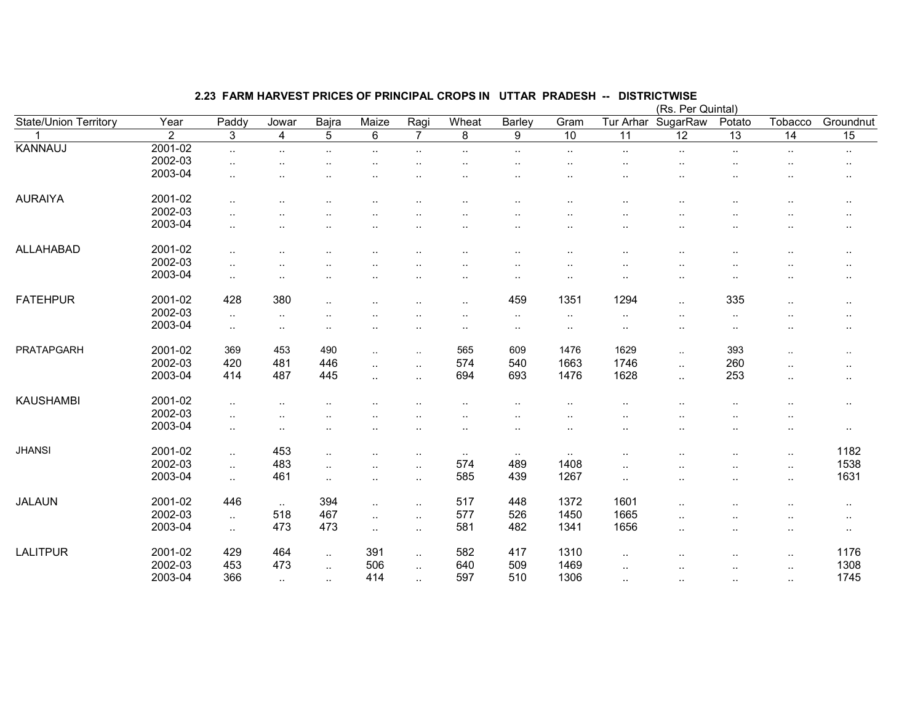|                       |                |                        |                         |                        |                      |                |           |           |                      |                      | (Rs. Per Quintal)    |                      |                      |                 |
|-----------------------|----------------|------------------------|-------------------------|------------------------|----------------------|----------------|-----------|-----------|----------------------|----------------------|----------------------|----------------------|----------------------|-----------------|
| State/Union Territory | Year           | Paddy                  | Jowar                   | Bajra                  | Maize                | Ragi           | Wheat     | Barley    | Gram                 | Tur Arhar            | SugarRaw             | Potato               | Tobacco              | Groundnut       |
| 1                     | $\overline{2}$ | 3                      | $\overline{\mathbf{4}}$ | $\overline{5}$         | 6                    | $\overline{7}$ | 8         | 9         | $\overline{10}$      | $\overline{11}$      | 12                   | $\overline{13}$      | $\overline{14}$      | $\overline{15}$ |
| <b>KANNAUJ</b>        | 2001-02        | $\ddotsc$              | $\sim$ $\sim$           | $\ddotsc$              | $\ddot{\phantom{a}}$ |                | $\ddotsc$ | $\ddotsc$ | $\ddotsc$            | $\ddot{\phantom{a}}$ | $\ddotsc$            | $\cdot$ .            | $\cdot$ .            | $\cdot$ .       |
|                       | 2002-03        |                        |                         |                        |                      |                |           |           |                      |                      |                      |                      | ٠.                   | $\cdot$ .       |
|                       | 2003-04        | $\ddot{\phantom{a}}$   |                         |                        |                      |                |           |           |                      |                      |                      |                      |                      | $\cdot$ .       |
|                       |                |                        |                         |                        |                      |                |           |           |                      |                      |                      |                      |                      |                 |
| <b>AURAIYA</b>        | 2001-02        | $\ddotsc$              |                         |                        |                      | $\cdot$        | . .       | $\cdot$ . | $\cdot$ .            |                      |                      | $\ddot{\phantom{a}}$ | $\cdot$ .            | $\cdot$ .       |
|                       | 2002-03        |                        |                         |                        |                      |                |           |           |                      |                      |                      |                      |                      | $\cdot$ .       |
|                       | 2003-04        | ٠.                     |                         |                        |                      |                |           | . .       |                      |                      |                      |                      |                      | $\cdot$ .       |
|                       |                |                        |                         |                        |                      |                |           |           |                      |                      |                      |                      |                      |                 |
| ALLAHABAD             | 2001-02        | $\ddotsc$              |                         |                        |                      | $\cdot$        | $\cdot$ . | $\cdot$ . | . .                  | $\cdot$ .            | $\ddot{\phantom{0}}$ | $\cdot$ .            | $\ddotsc$            | $\cdot$ .       |
|                       | 2002-03        | $\sim$                 |                         |                        |                      |                | . .       |           | $\ddot{\phantom{a}}$ | $\ddot{\phantom{a}}$ | $\ddotsc$            | $\ddot{\phantom{0}}$ |                      | $\cdot$ .       |
|                       | 2003-04        | $\sim$                 | ٠.                      |                        | $\cdot$ .            |                |           | $\cdot$ . | $\ddot{\phantom{a}}$ | $\cdot$ .            | $\cdot$ .            | $\ddotsc$            | $\ddotsc$            | $\cdot$ .       |
|                       |                |                        |                         |                        |                      |                |           |           |                      |                      |                      |                      |                      |                 |
| <b>FATEHPUR</b>       | 2001-02        | 428                    | 380                     | $\sim$                 |                      |                | $\sim$    | 459       | 1351                 | 1294                 | $\ldots$             | 335                  | $\cdot$ .            | $\sim$          |
|                       | 2002-03        | $\sim$                 | $\cdot$ .               |                        |                      |                |           | $\cdot$ . | $\cdot$ .            | $\cdot$ .            |                      | $\sim$               | $\ddotsc$            | $\cdot$ .       |
|                       | 2003-04        | $\sim$                 | $\sim$                  | $\ddot{\phantom{a}}$ . | ٠.                   |                | $\cdot$ . | $\cdot$ . | $\cdot$ .            | $\cdot$ .            | $\sim$               | $\cdot$ .            |                      | $\cdot$ .       |
|                       |                |                        |                         |                        |                      |                |           |           |                      |                      |                      |                      |                      |                 |
| <b>PRATAPGARH</b>     | 2001-02        | 369                    | 453                     | 490                    | $\sim$               |                | 565       | 609       | 1476                 | 1629                 | $\ddotsc$            | 393                  | $\ddotsc$            | $\sim$          |
|                       | 2002-03        | 420                    | 481                     | 446                    | $\cdot$ .            | $\ddotsc$      | 574       | 540       | 1663                 | 1746                 | $\ldots$             | 260                  | $\ddotsc$            | $\cdot$ .       |
|                       | 2003-04        | 414                    | 487                     | 445                    | $\ddot{\phantom{a}}$ | ٠.             | 694       | 693       | 1476                 | 1628                 | $\ddotsc$            | 253                  | $\ddotsc$            | $\cdot$ .       |
|                       |                |                        |                         |                        |                      |                |           |           |                      |                      |                      |                      |                      |                 |
| <b>KAUSHAMBI</b>      | 2001-02        | $\ddot{\phantom{a}}$ . |                         |                        |                      |                |           |           |                      |                      |                      |                      | $\ddotsc$            | $\cdots$        |
|                       | 2002-03        | $\ddotsc$              |                         |                        |                      |                |           |           |                      |                      |                      |                      | ٠.                   |                 |
|                       | 2003-04        | $\ddotsc$              |                         |                        |                      | ٠.             | $\cdot$ . | $\cdot$ . | $\ddot{\phantom{a}}$ |                      |                      | $\cdot$ .            | $\cdot$ .            | $\cdot$ .       |
|                       |                |                        |                         |                        |                      |                |           |           |                      |                      |                      |                      |                      |                 |
| <b>JHANSI</b>         | 2001-02        | $\sim$                 | 453                     | $\sim$                 | $\cdot$ .            | ٠.             | $\sim$    | $\sim$    | $\sim$               | $\cdot$ .            |                      | ٠.                   | $\cdot$ .            | 1182            |
|                       | 2002-03        | $\sim$                 | 483                     | $\cdot$ .              | $\ddot{\phantom{a}}$ | $\ddotsc$      | 574       | 489       | 1408                 | $\ddotsc$            |                      |                      | $\ddotsc$            | 1538            |
|                       | 2003-04        | $\sim$                 | 461                     | $\sim$                 | $\ddot{\phantom{a}}$ | $\ddotsc$      | 585       | 439       | 1267                 | $\ddotsc$            | $\cdot$ .            | $\cdot$ .            | $\ddot{\phantom{1}}$ | 1631            |
|                       |                |                        |                         |                        |                      |                |           |           |                      |                      |                      |                      |                      |                 |
| <b>JALAUN</b>         | 2001-02        | 446                    | $\ddotsc$               | 394                    | $\ddotsc$            | $\ddotsc$      | 517       | 448       | 1372                 | 1601                 | $\ddot{\phantom{a}}$ | $\ddot{\phantom{a}}$ | $\ddotsc$            | $\cdot$ .       |
|                       | 2002-03        | $\sim$                 | 518                     | 467                    | $\ldots$             | $\sim$         | 577       | 526       | 1450                 | 1665                 | $\ddotsc$            |                      | ٠.                   | $\cdot$ .       |
|                       | 2003-04        | $\ddotsc$              | 473                     | 473                    | $\ddotsc$            | $\ldots$       | 581       | 482       | 1341                 | 1656                 | $\cdot$ .            | $\cdot$ .            | $\ddot{\phantom{a}}$ | $\cdot$ .       |
|                       |                |                        |                         |                        |                      |                |           |           |                      |                      |                      |                      |                      |                 |
| <b>LALITPUR</b>       | 2001-02        | 429                    | 464                     | $\ddotsc$              | 391                  | $\ddotsc$      | 582       | 417       | 1310                 |                      |                      | $\cdot$ .            | $\ddotsc$            | 1176            |
|                       | 2002-03        | 453                    | 473                     | $\ddotsc$              | 506                  | $\ddotsc$      | 640       | 509       | 1469                 |                      |                      |                      | $\ddotsc$            | 1308            |
|                       | 2003-04        | 366                    | $\sim$                  | $\sim$                 | 414                  | $\ddotsc$      | 597       | 510       | 1306                 | $\ddot{\phantom{a}}$ |                      | $\ddot{\phantom{a}}$ | $\ddotsc$            | 1745            |
|                       |                |                        |                         |                        |                      |                |           |           |                      |                      |                      |                      |                      |                 |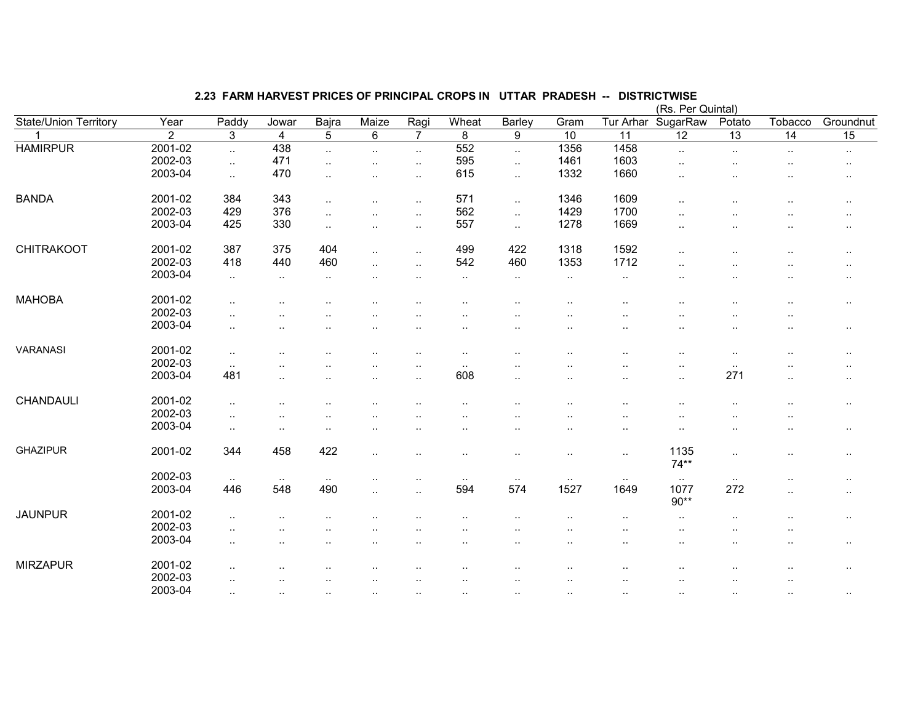|                       |                |                      |                      |                      |                      |                      |           |                      |                      |                 | (Rs. Per Quintal)    |                        |                      |           |
|-----------------------|----------------|----------------------|----------------------|----------------------|----------------------|----------------------|-----------|----------------------|----------------------|-----------------|----------------------|------------------------|----------------------|-----------|
| State/Union Territory | Year           | Paddy                | Jowar                | <b>Bajra</b>         | Maize                | Ragi                 | Wheat     | Barley               | Gram                 | Tur Arhar       | SugarRaw             | Potato                 | Tobacco              | Groundnut |
| 1                     | $\overline{2}$ | 3                    | 4                    | 5                    | 6                    | $\overline{7}$       | 8         | 9                    | $\overline{10}$      | $\overline{11}$ | $\overline{12}$      | $\overline{13}$        | $\overline{14}$      | 15        |
| <b>HAMIRPUR</b>       | 2001-02        | $\ddotsc$            | 438                  | $\ddotsc$            | $\ddotsc$            | $\sim$               | 552       | $\sim$               | 1356                 | 1458            | $\ldots$             | $\cdot$ .              | $\sim$               | $\cdot$ . |
|                       | 2002-03        | $\ldots$             | 471                  | $\ddot{\phantom{a}}$ | $\ddot{\phantom{a}}$ | $\ldots$             | 595       | $\ddotsc$            | 1461                 | 1603            | . .                  | ٠.                     | $\ddot{\phantom{a}}$ | $\sim$    |
|                       | 2003-04        | $\sim$               | 470                  | $\cdot$ .            | $\ddotsc$            | $\sim$               | 615       | $\sim$               | 1332                 | 1660            |                      | ٠.                     |                      | $\cdot$ . |
|                       |                |                      |                      |                      |                      |                      |           |                      |                      |                 |                      |                        |                      |           |
| <b>BANDA</b>          | 2001-02        | 384                  | 343                  | $\cdot$              | $\ddotsc$            | $\sim$               | 571       | $\sim$               | 1346                 | 1609            | $\ddot{\phantom{a}}$ | $\ddot{\phantom{a}}$   |                      |           |
|                       | 2002-03        | 429                  | 376                  | $\ddot{\phantom{a}}$ | ٠.                   | $\cdot$ .            | 562       | $\ddotsc$            | 1429                 | 1700            |                      |                        |                      | $\sim$    |
|                       | 2003-04        | 425                  | 330                  | $\ddotsc$            | $\ddotsc$            | $\sim$               | 557       | $\sim$               | 1278                 | 1669            |                      |                        |                      | $\cdot$ . |
|                       |                |                      |                      |                      |                      |                      |           |                      |                      |                 |                      |                        |                      |           |
| <b>CHITRAKOOT</b>     | 2001-02        | 387                  | 375                  | 404                  | $\ddotsc$            | $\sim$               | 499       | 422                  | 1318                 | 1592            | . .                  | ٠.                     |                      |           |
|                       | 2002-03        | 418                  | 440                  | 460                  | $\ddotsc$            | $\sim$               | 542       | 460                  | 1353                 | 1712            | $\ddot{\phantom{a}}$ |                        |                      | $\cdot$ . |
|                       | 2003-04        | $\cdot$ .            | $\cdot$ .            | $\cdot$ .            |                      | $\ddotsc$            | $\ddotsc$ | $\sim$               | $\cdot$ .            | $\ddotsc$       |                      | ٠.                     |                      | $\cdot$ . |
|                       |                |                      |                      |                      |                      |                      |           |                      |                      |                 |                      |                        |                      |           |
| <b>MAHOBA</b>         | 2001-02        | $\ddot{\phantom{a}}$ |                      |                      |                      |                      |           |                      |                      |                 |                      |                        | . .                  | $\cdot$ . |
|                       | 2002-03        | $\cdot$ .            |                      |                      |                      |                      |           |                      |                      |                 |                      | $\ddotsc$              | . .                  |           |
|                       | 2003-04        | $\cdot$ .            | $\ddotsc$            |                      | $\ddotsc$            | $\ddotsc$            |           |                      |                      | ٠.              |                      | $\ddot{\phantom{a}}$ . | ٠.                   | $\cdot$ . |
|                       |                |                      |                      |                      |                      |                      |           |                      |                      |                 |                      |                        |                      |           |
| <b>VARANASI</b>       | 2001-02        | $\ldots$             |                      |                      |                      | . .                  | . .       |                      |                      |                 | $\ddot{\phantom{a}}$ | $\ddotsc$              |                      | $\cdot$ . |
|                       | 2002-03        | $\cdot$ .            |                      |                      |                      |                      | $\sim$    |                      |                      |                 |                      | $\sim$                 |                      |           |
|                       | 2003-04        | 481                  | $\ddot{\phantom{a}}$ | $\cdot$ .            | $\ddot{\phantom{a}}$ | $\ddot{\phantom{a}}$ | 608       | $\cdot$ .            | . .                  |                 | $\ddot{\phantom{a}}$ | 271                    | $\ddot{\phantom{a}}$ | $\sim$    |
|                       |                |                      |                      |                      |                      |                      |           |                      |                      |                 |                      |                        |                      |           |
| CHANDAULI             | 2001-02        | $\cdot$ .            |                      |                      |                      |                      |           |                      |                      |                 |                      |                        |                      | $\cdot$ . |
|                       | 2002-03        |                      |                      |                      |                      |                      |           |                      |                      |                 |                      |                        |                      |           |
|                       | 2003-04        | $\cdot$ .            |                      |                      |                      |                      |           |                      |                      |                 |                      |                        |                      | $\cdot$ . |
|                       |                |                      |                      |                      |                      |                      |           |                      |                      |                 |                      |                        |                      |           |
| <b>GHAZIPUR</b>       | 2001-02        | 344                  | 458                  | 422                  | $\ddotsc$            |                      |           |                      | . .                  | $\sim$          | 1135                 | $\ddotsc$              |                      | $\cdot$ . |
|                       |                |                      |                      |                      |                      |                      |           |                      |                      |                 | $74**$               |                        |                      |           |
|                       | 2002-03        | $\sim$ $\sim$        | $\ddotsc$            | $\sim$               |                      |                      | $\sim$    | $\cdot$ .            |                      | $\sim$ $\sim$   | $\sim$               | $\sim$                 | . .                  |           |
|                       | 2003-04        | 446                  | 548                  | 490                  | $\ddotsc$            | $\ddotsc$            | 594       | 574                  | 1527                 | 1649            | 1077                 | 272                    | $\ddot{\phantom{a}}$ | $\cdot$ . |
|                       |                |                      |                      |                      |                      |                      |           |                      |                      |                 | $90**$               |                        |                      |           |
| <b>JAUNPUR</b>        | 2001-02        | $\ddot{\phantom{a}}$ |                      |                      |                      |                      |           |                      |                      |                 |                      |                        |                      | $\cdot$ . |
|                       | 2002-03        | $\ddot{\phantom{a}}$ |                      |                      |                      |                      |           |                      |                      |                 |                      |                        |                      |           |
|                       | 2003-04        | $\cdot$ .            |                      |                      |                      |                      |           |                      |                      |                 | $\cdot$ .            | $\ddotsc$              | . .                  | $\cdot$ . |
|                       |                |                      |                      |                      |                      |                      |           |                      |                      |                 |                      |                        |                      |           |
| <b>MIRZAPUR</b>       | 2001-02        | $\cdot$ .            |                      |                      |                      |                      |           |                      |                      |                 |                      |                        |                      | $\cdot$ . |
|                       | 2002-03        |                      |                      |                      |                      |                      |           |                      |                      |                 |                      |                        | ٠.                   |           |
|                       | 2003-04        | $\ddotsc$            | $\ddotsc$            | $\cdot$ .            | $\ddotsc$            | $\ddotsc$            | $\cdot$ . | $\ddot{\phantom{a}}$ | $\ddot{\phantom{a}}$ | $\sim$          |                      | $\sim$                 | $\ddotsc$            | $\cdot$ . |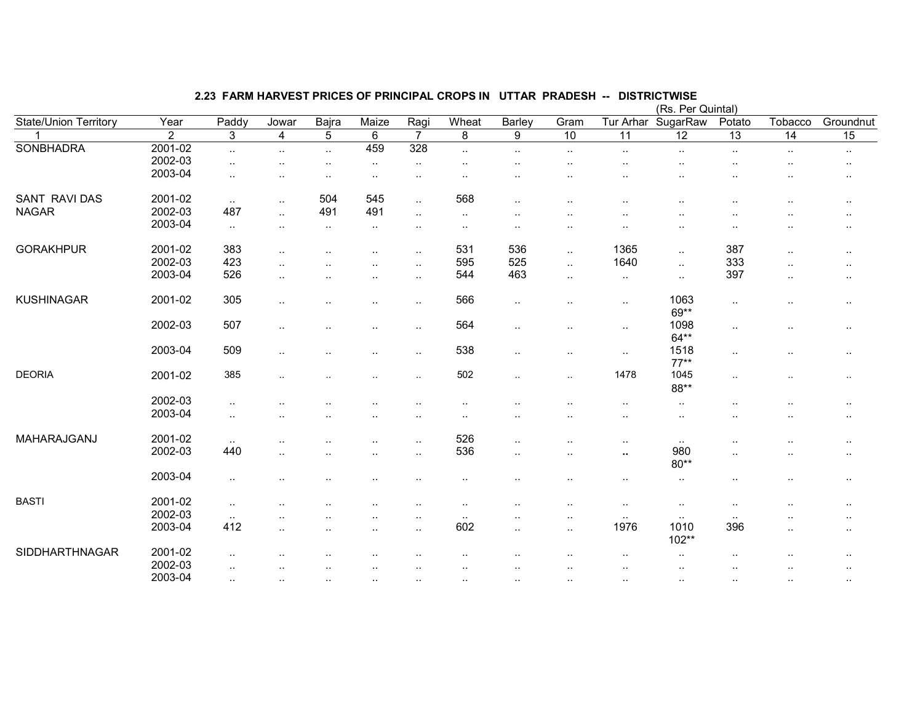|                              |                |                      |                      |                      |                        |                      |                |                      |                      |                 | (Rs. Per Quintal)    |                      |                      |                      |
|------------------------------|----------------|----------------------|----------------------|----------------------|------------------------|----------------------|----------------|----------------------|----------------------|-----------------|----------------------|----------------------|----------------------|----------------------|
| <b>State/Union Territory</b> | Year           | Paddy                | Jowar                | Bajra                | Maize                  | Ragi                 | Wheat          | Barley               | Gram                 | Tur Arhar       | SugarRaw             | Potato               | Tobacco              | Groundnut            |
|                              | $\overline{2}$ | $\overline{3}$       | $\overline{4}$       | $\overline{5}$       | $\,6\,$                | $\overline{7}$       | $\overline{8}$ | $\overline{9}$       | $\overline{10}$      | $\overline{11}$ | 12                   | $\overline{13}$      | $\overline{14}$      | $\overline{15}$      |
| <b>SONBHADRA</b>             | 2001-02        | $\ddotsc$            | $\ddotsc$            | $\ddotsc$            | 459                    | 328                  | $\ddotsc$      | $\ddotsc$            | $\sim$               | $\sim$          | $\cdot$ .            | ٠.                   | $\ddotsc$            | $\sim$               |
|                              | 2002-03        |                      |                      | $\ddot{\phantom{a}}$ | $\sim$                 | $\sim$               |                |                      |                      |                 |                      |                      |                      | $\cdot$ .            |
|                              | 2003-04        | $\ddot{\phantom{a}}$ |                      |                      | $\ddotsc$              |                      |                |                      |                      |                 |                      |                      |                      | $\cdot$ .            |
| <b>SANT RAVI DAS</b>         | 2001-02        | $\sim$               | $\ddot{\phantom{a}}$ | 504                  | 545                    | $\mathbf{L}$         | 568            | $\sim$               | $\ddot{\phantom{a}}$ | $\ddotsc$       | $\ddotsc$            |                      |                      | $\ddot{\phantom{a}}$ |
| <b>NAGAR</b>                 | 2002-03        | 487                  | $\ddot{\phantom{a}}$ | 491                  | 491                    | $\sim$               | $\cdot$ .      |                      |                      |                 |                      |                      |                      | $\cdot$ .            |
|                              | 2003-04        | $\cdot$ .            | $\ddot{\phantom{a}}$ | $\ddotsc$            | $\sim$                 | $\ddot{\phantom{a}}$ | $\cdot$ .      | $\ddot{\phantom{a}}$ | $\cdot$ .            |                 | $\ddot{\phantom{a}}$ | $\ddot{\phantom{a}}$ | $\ddot{\phantom{a}}$ |                      |
| <b>GORAKHPUR</b>             | 2001-02        | 383                  | $\ddot{\phantom{a}}$ |                      | $\ddot{\phantom{a}}$   | $\ddotsc$            | 531            | 536                  | $\sim$               | 1365            | $\cdot$ .            | 387                  | $\ddot{\phantom{a}}$ | $\ddot{\phantom{a}}$ |
|                              | 2002-03        | 423                  | $\ddot{\phantom{a}}$ |                      |                        | $\ddotsc$            | 595            | 525                  | $\sim$               | 1640            | $\cdot$ .            | 333                  | $\cdot$ .            |                      |
|                              | 2003-04        | 526                  | $\cdot$ .            |                      | $\ddotsc$              | $\sim$               | 544            | 463                  | $\sim$               | $\sim$          | $\sim$               | 397                  | $\cdot$ .            | $\cdot$ .            |
|                              |                |                      |                      |                      |                        |                      |                |                      |                      |                 |                      |                      |                      |                      |
| <b>KUSHINAGAR</b>            | 2001-02        | 305                  | $\ddot{\phantom{a}}$ |                      | $\ddotsc$              | $\sim$               | 566            | $\sim$               | $\sim$               | $\sim$          | 1063<br>69**         | $\cdot$ .            |                      | $\cdot$ .            |
|                              | 2002-03        | 507                  | $\ddotsc$            |                      | $\cdot$ .              | $\sim$               | 564            | $\cdot$ .            | $\cdot$ .            | $\sim$          | 1098<br>$64**$       |                      | $\ddot{\phantom{1}}$ | $\sim$               |
|                              | 2003-04        | 509                  | $\ddotsc$            |                      | $\ddot{\phantom{1}}$ . | $\sim$               | 538            | $\sim$               | $\cdot$ .            | $\sim$          | 1518<br>$77***$      |                      | ٠.                   | $\sim$               |
| <b>DEORIA</b>                | 2001-02        | 385                  | $\ddot{\phantom{a}}$ | $\ddot{\phantom{a}}$ | $\ddotsc$              | $\ddotsc$            | 502            | $\sim$               | $\sim$               | 1478            | 1045<br>88**         | $\sim$               | $\sim$               | $\cdot$ .            |
|                              | 2002-03        |                      |                      |                      |                        |                      |                |                      |                      |                 |                      |                      |                      |                      |
|                              | 2003-04        | $\ddot{\phantom{a}}$ |                      |                      |                        |                      |                |                      |                      |                 | $\ddotsc$            |                      |                      | $\cdot$ .            |
|                              |                | $\ddot{\phantom{a}}$ |                      |                      |                        |                      |                |                      |                      | ٠.              | $\cdot$ .            | ٠.                   |                      | $\cdot$ .            |
| MAHARAJGANJ                  | 2001-02        | $\sim$               |                      |                      |                        | $\ddotsc$            | 526            | $\ldots$             |                      | $\cdot$ .       | $\sim$               |                      |                      | $\cdot$ .            |
|                              | 2002-03        | 440                  | $\ddot{\phantom{a}}$ |                      |                        | $\ddotsc$            | 536            | $\ddotsc$            | ٠.                   | $\sim$          | 980                  |                      |                      | $\cdot$ .            |
|                              |                |                      |                      |                      |                        |                      |                |                      |                      |                 | $80**$               |                      |                      |                      |
|                              | 2003-04        | $\cdot$ .            |                      |                      |                        |                      |                |                      |                      |                 | $\sim$               |                      |                      | $\sim$               |
| <b>BASTI</b>                 | 2001-02        |                      |                      |                      |                        |                      |                |                      |                      |                 |                      |                      |                      |                      |
|                              | 2002-03        | $\sim$               |                      |                      |                        |                      |                |                      | $\cdot$ .            | $\cdot$ .       | $\cdot$ .            | ٠.                   |                      | $\cdot$ .            |
|                              | 2003-04        | $\sim$<br>412        | $\ddotsc$            |                      |                        |                      | $\sim$<br>602  |                      | . .                  | $\sim$<br>1976  | $\cdot$ .<br>1010    | $\sim$<br>396        |                      |                      |
|                              |                |                      |                      |                      | $\ddot{\phantom{0}}$   | $\sim$               |                | $\sim$               | $\cdot$ .            |                 | 102**                |                      |                      | $\cdot$ .            |
| SIDDHARTHNAGAR               | 2001-02        | $\cdot$ .            |                      |                      |                        |                      |                |                      |                      | $\cdot$ .       | $\cdot$ .            |                      |                      | $\cdot$ .            |
|                              | 2002-03        |                      |                      |                      |                        |                      |                |                      |                      |                 |                      |                      |                      |                      |
|                              | 2003-04        | $\sim$               | $\cdot$ .            | $\cdot$ .            | $\ddotsc$              | $\ddotsc$            | $\sim$         | $\cdot$ .            |                      | $\sim$          | $\cdot$ .            | $\sim$               | $\ddotsc$            |                      |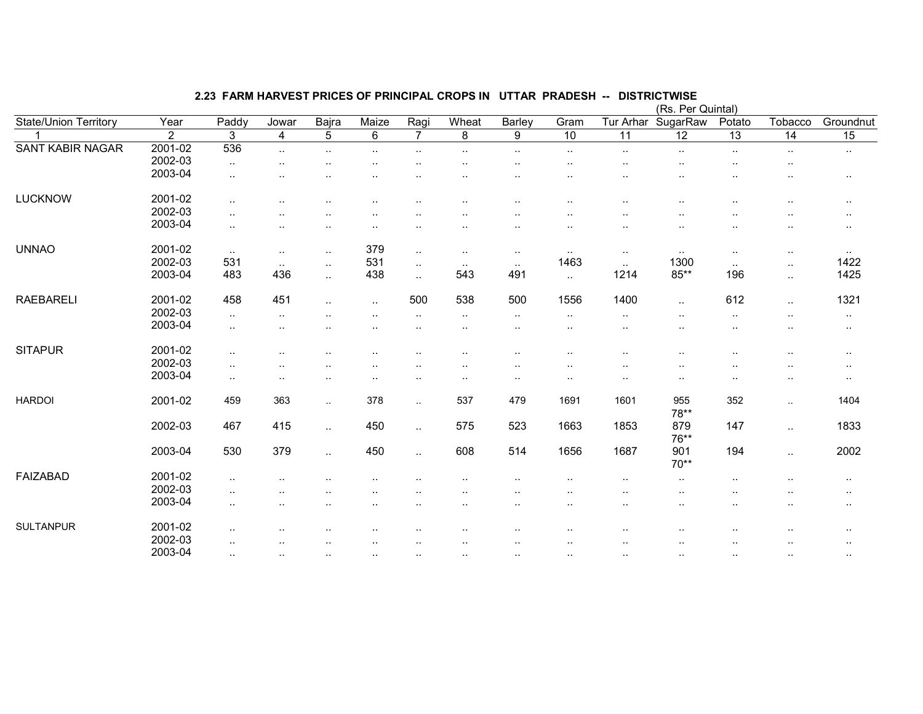|                         |         |               |                        |           |                      |                |               |                      |                        |                        | (Rs. Per Quintal) |                        |           |                 |
|-------------------------|---------|---------------|------------------------|-----------|----------------------|----------------|---------------|----------------------|------------------------|------------------------|-------------------|------------------------|-----------|-----------------|
| State/Union Territory   | Year    | Paddy         | Jowar                  | Bajra     | Maize                | Ragi           | Wheat         | Barley               | Gram                   | Tur Arhar              | SugarRaw          | Potato                 | Tobacco   | Groundnut       |
|                         | 2       | 3             | 4                      | 5         | $6\phantom{1}$       | $\overline{7}$ | 8             | 9                    | 10                     | 11                     | $\overline{12}$   | $\overline{13}$        | 14        | $\overline{15}$ |
| <b>SANT KABIR NAGAR</b> | 2001-02 | 536           | $\sim$                 | $\cdot$ . | $\ddot{\phantom{a}}$ | $\ddotsc$      | $\ddotsc$     | $\sim$               | $\cdot$ .              | $\ddot{\phantom{a}}$   | $\cdot$ .         | $\cdot$ .              | $\sim$    | $\sim$          |
|                         | 2002-03 | $\sim$        | $\ddotsc$              |           |                      |                | . .           | $\cdot$ .            | $\cdot$ .              |                        |                   | $\ddot{\phantom{1}}$ . | $\cdot$ . |                 |
|                         | 2003-04 | $\cdot$ .     | $\ddot{\phantom{0}}$   |           |                      |                | . .           |                      |                        | $\ddot{\phantom{a}}$   | . .               | $\ddotsc$              | $\ddotsc$ | $\cdot$ .       |
| <b>LUCKNOW</b>          | 2001-02 | $\cdot$ .     |                        |           |                      |                |               |                      |                        |                        |                   |                        |           | $\cdots$        |
|                         | 2002-03 | $\cdot$ .     | ٠.                     |           |                      |                | . .           |                      |                        | $\ddot{\phantom{a}}$   | . .               | $\ddot{\phantom{a}}$   | ٠.        | $\cdot$ .       |
|                         | 2003-04 | $\ddotsc$     |                        |           |                      |                |               |                      |                        |                        |                   |                        |           | $\cdots$        |
| <b>UNNAO</b>            | 2001-02 | $\sim$        | $\sim$                 | $\cdot$ . | 379                  | $\ddotsc$      | $\sim$        | $\cdot$ .            |                        | $\cdot$ .              |                   | $\ddot{\phantom{a}}$   | $\cdot$ . | $\cdot$ .       |
|                         | 2002-03 | 531           | $\sim$                 | $\ldots$  | 531                  | $\sim$         | $\sim$ $\sim$ | $\sim$               | 1463                   | $\sim$                 | 1300              | $\sim$                 | $\ldots$  | 1422            |
|                         | 2003-04 | 483           | 436                    | $\ddotsc$ | 438                  | $\ddotsc$      | 543           | 491                  | $\ddotsc$              | 1214                   | $85**$            | 196                    | $\ldots$  | 1425            |
| <b>RAEBARELI</b>        | 2001-02 | 458           | 451                    | $\cdot$ . | $\ddotsc$            | 500            | 538           | 500                  | 1556                   | 1400                   | $\cdot$ .         | 612                    | $\sim$ .  | 1321            |
|                         | 2002-03 | $\sim$        | $\ddotsc$              |           |                      | ٠.             | $\sim$        | $\sim$               | $\cdot$ .              | ٠.                     |                   | $\ddot{\phantom{1}}$ . |           | $\sim$          |
|                         | 2003-04 | $\ddotsc$     |                        |           |                      |                |               | $\cdot$ .            | $\ddot{\phantom{1}}$ . |                        |                   |                        |           | $\sim$          |
| <b>SITAPUR</b>          | 2001-02 | $\cdot$ .     |                        |           |                      |                |               |                      | $\cdot$ .              |                        |                   | $\ddot{\phantom{a}}$   |           | $\cdots$        |
|                         | 2002-03 | $\cdot$ .     |                        |           |                      |                |               |                      | $\ddot{\phantom{1}}$ . |                        |                   |                        |           | $\sim$          |
|                         | 2003-04 | $\sim$ $\sim$ | $\ddot{\phantom{1}}$ . |           | $\ddot{\phantom{1}}$ | ٠.             | $\cdot$ .     | $\cdot$ .            | $\cdot$ .              | $\ddot{\phantom{1}}$ . | $\sim$            | $\ddot{\phantom{1}}$   | $\sim$    | $\cdots$        |
| <b>HARDOI</b>           | 2001-02 | 459           | 363                    | $\sim$    | 378                  | $\sim$         | 537           | 479                  | 1691                   | 1601                   | 955<br>78**       | 352                    | $\sim$    | 1404            |
|                         | 2002-03 | 467           | 415                    | $\ldots$  | 450                  | $\ddotsc$      | 575           | 523                  | 1663                   | 1853                   | 879<br>76**       | 147                    | $\sim$ .  | 1833            |
|                         | 2003-04 | 530           | 379                    | $\ddotsc$ | 450                  | $\ddotsc$      | 608           | 514                  | 1656                   | 1687                   | 901<br>$70**$     | 194                    | $\ddotsc$ | 2002            |
| <b>FAIZABAD</b>         | 2001-02 | $\ddotsc$     |                        |           |                      |                |               |                      |                        |                        |                   |                        |           | $\sim$ $\sim$   |
|                         | 2002-03 | $\cdot$ .     | $\ddot{\phantom{0}}$   |           |                      |                |               |                      |                        |                        |                   |                        |           | $\sim$ $\sim$   |
|                         | 2003-04 | $\sim$        |                        |           |                      | ٠.             | ٠.            | $\ddot{\phantom{a}}$ | $\cdot$ .              |                        | ٠.                | $\ddot{\phantom{1}}$ . | ٠.        | $\cdot$ .       |
| <b>SULTANPUR</b>        | 2001-02 |               |                        |           |                      |                |               |                      |                        |                        |                   |                        |           | $\sim$ $\sim$   |
|                         | 2002-03 | $\cdot$ .     |                        |           |                      |                |               |                      |                        |                        |                   |                        | $\ddotsc$ | $\cdots$        |
|                         | 2003-04 | $\sim$        | $\sim$                 | $\cdot$ . | $\sim$               | ٠.             | $\sim$        | $\sim$               | $\cdot$ .              | $\cdot$ .              | $\cdot$ .         | $\sim$                 | $\sim$    | $\sim$          |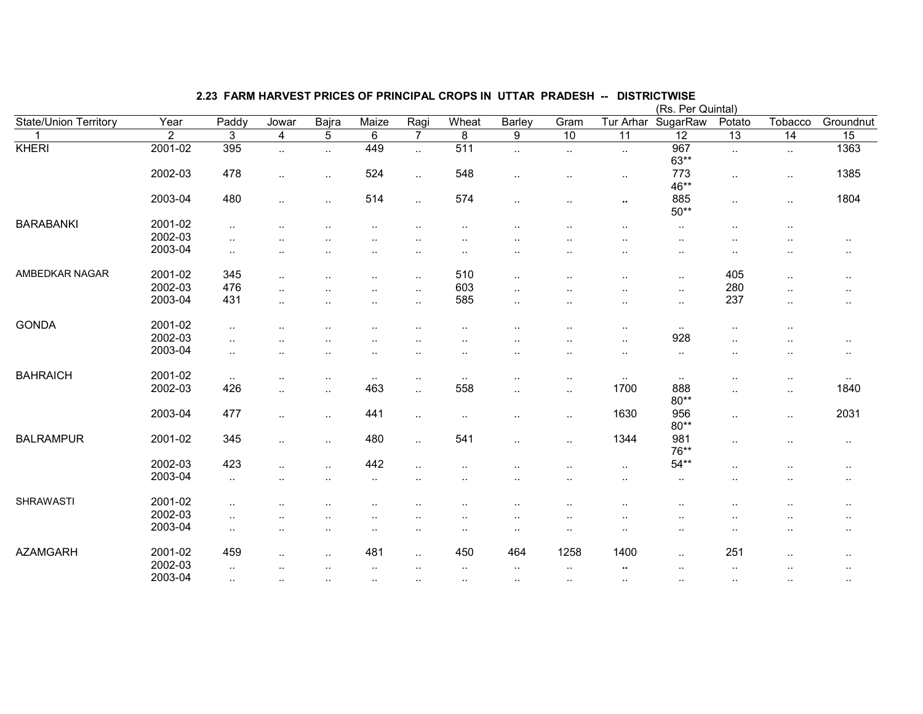|                       |                |                      |                      |                      |                      |                |                      |                      |                      |                        | (Rs. Per Quintal)      |                      |                      |                 |
|-----------------------|----------------|----------------------|----------------------|----------------------|----------------------|----------------|----------------------|----------------------|----------------------|------------------------|------------------------|----------------------|----------------------|-----------------|
| State/Union Territory | Year           | Paddy                | Jowar                | Bajra                | Maize                | Ragi           | Wheat                | Barley               | Gram                 | Tur Arhar              | SugarRaw               | Potato               | Tobacco              | Groundnut       |
|                       | $\overline{2}$ | 3                    | $\overline{4}$       | $5\phantom{.0}$      | $6\phantom{1}$       | $\overline{7}$ | 8                    | 9                    | 10                   | $\overline{11}$        | 12                     | $\overline{13}$      | $\overline{14}$      | $\overline{15}$ |
| <b>KHERI</b>          | 2001-02        | 395                  | $\cdot$ .            | $\sim$               | 449                  | $\sim$         | 511                  | $\cdot$ .            | $\cdot$ .            | $\sim$                 | 967<br>$63**$          | $\sim$               | $\sim$               | 1363            |
|                       | 2002-03        | 478                  | $\ldots$             |                      | 524                  | $\sim$         | 548                  | $\cdot$ .            | $\cdot$ .            | $\sim$                 | 773<br>46**            | $\ldots$             | $\sim$               | 1385            |
|                       | 2003-04        | 480                  | $\sim$               | $\ddotsc$            | 514                  | $\sim$         | 574                  | $\sim$               | $\cdot$ .            | $\mathbf{u}$           | 885<br>$50**$          | $\sim$               | $\sim$               | 1804            |
| <b>BARABANKI</b>      | 2001-02        | $\sim$               | $\cdot$ .            | $\cdot$ .            | $\ddotsc$            |                | $\cdot$ .            | $\cdot$ .            | ٠.                   |                        | $\ddot{\phantom{a}}$ . | $\sim$               | $\cdot$ .            |                 |
|                       | 2002-03        | $\ddot{\phantom{a}}$ |                      |                      |                      |                |                      |                      |                      |                        | $\ddotsc$              |                      |                      | $\cdot$ .       |
|                       | 2003-04        | $\sim$               | $\cdot$ .            |                      |                      |                |                      | $\cdot$ .            | $\cdot$ .            |                        | $\cdot$ .              | $\cdot$ .            | $\cdot$ .            | $\sim$          |
| AMBEDKAR NAGAR        | 2001-02        | 345                  | $\cdot$ .            | $\ddot{\phantom{a}}$ | $\ddot{\phantom{1}}$ | $\cdot$ .      | 510                  | $\cdot$ .            | $\cdot$ .            |                        |                        | 405                  | $\cdot$ .            | $\sim$          |
|                       | 2002-03        | 476                  | $\cdot$ .            |                      | $\ddot{\phantom{a}}$ | $\cdot$ .      | 603                  | $\cdot$ .            | ٠.                   |                        | $\cdot$ .              | 280                  | $\ddotsc$            | $\ddotsc$       |
|                       | 2003-04        | 431                  | $\ddotsc$            |                      |                      |                | 585                  |                      |                      | $\ddot{\phantom{a}}$   |                        | 237                  |                      |                 |
|                       |                |                      |                      | $\ddot{\phantom{a}}$ | $\ddot{\phantom{a}}$ | $\ddotsc$      |                      | $\cdot$ .            | $\cdot$ .            |                        | $\cdot$ .              |                      | $\cdot$ .            | $\ddotsc$       |
| <b>GONDA</b>          | 2001-02        | $\cdot$ .            |                      |                      | $\ddotsc$            |                | $\ddot{\phantom{a}}$ | $\ddot{\phantom{a}}$ | $\cdot$ .            | $\sim$                 | $\sim$                 | $\cdot$ .            | $\sim$               |                 |
|                       | 2002-03        | ٠.                   |                      |                      |                      |                |                      |                      | ٠.                   | $\cdot$ .              | 928                    | $\ddotsc$            |                      | $\sim$          |
|                       | 2003-04        | $\sim$               |                      |                      | $\ddotsc$            |                |                      | ٠.                   | $\cdot$ .            | $\cdot$ .              | $\cdot$ .              | $\ddotsc$            |                      | $\sim$          |
| <b>BAHRAICH</b>       | 2001-02        | $\ldots$             |                      | $\ddotsc$            | $\sim$               | $\cdot$ .      | $\cdot$ .            | ٠.                   | $\cdot$ .            | $\sim$                 | $\sim$                 |                      | $\cdot$ .            | $\sim$          |
|                       | 2002-03        | 426                  | $\cdot$ .            | $\cdot$ .            | 463                  | $\ddotsc$      | 558                  | $\cdot$ .            | $\cdot$ .            | 1700                   | 888                    | $\cdot$ .            | $\sim$               | 1840            |
|                       | 2003-04        | 477                  | $\cdot$ .            | $\sim$               | 441                  | $\sim$         | $\cdot$ .            | $\cdot$ .            | $\cdot$ .            | 1630                   | $80**$<br>956          | $\ldots$             | $\cdot$ .            | 2031            |
|                       |                |                      |                      |                      |                      |                |                      |                      |                      |                        | $80**$                 |                      |                      |                 |
| <b>BALRAMPUR</b>      | 2001-02        | 345                  | $\ddotsc$            | $\ddotsc$            | 480                  | $\ddotsc$      | 541                  | $\ddotsc$            | $\sim$               | 1344                   | 981<br>76**            | $\cdot$ .            | $\ddotsc$            | $\sim$          |
|                       | 2002-03        | 423                  |                      |                      | 442                  |                |                      |                      |                      | $\sim$                 | $54**$                 | $\cdot$ .            |                      | $\sim$          |
|                       | 2003-04        | $\sim$               |                      |                      | $\ddotsc$            |                |                      |                      |                      | $\ddot{\phantom{a}}$ . | $\cdot$ .              |                      | . .                  | $\cdot$ .       |
| <b>SHRAWASTI</b>      | 2001-02        | $\sim$               |                      |                      |                      |                |                      | ٠.                   | ٠.                   |                        |                        |                      |                      | $\cdot$ .       |
|                       | 2002-03        |                      |                      |                      |                      |                |                      |                      |                      |                        |                        |                      |                      |                 |
|                       | 2003-04        | $\sim$               |                      |                      |                      |                |                      | $\ddot{\phantom{a}}$ | $\ddot{\phantom{1}}$ |                        |                        |                      |                      | $\cdot$ .       |
|                       |                | $\ddotsc$            | $\ddot{\phantom{a}}$ | $\ddot{\phantom{a}}$ | $\ddotsc$            |                | $\cdot$ .            | $\cdot$ .            | ٠.                   | $\cdot$ .              | $\cdot$ .              | $\ddot{\phantom{a}}$ | $\cdot$ .            | $\sim$          |
| <b>AZAMGARH</b>       | 2001-02        | 459                  | $\ddot{\phantom{a}}$ | $\ddot{\phantom{a}}$ | 481                  | $\ddotsc$      | 450                  | 464                  | 1258                 | 1400                   | $\ddot{\phantom{a}}$   | 251                  | $\ddot{\phantom{a}}$ | $\cdot$ .       |
|                       | 2002-03        | $\sim$               |                      |                      | $\ddotsc$            |                | $\cdot$ .            | $\cdot$ .            | $\ldots$             | $\sim$                 |                        | $\cdot$ .            |                      | $\sim$ $\sim$   |
|                       | 2003-04        | $\sim$ $\sim$        | $\sim$               | $\sim$               | $\sim$               | $\cdot$ .      | $\cdot$ .            | $\cdot$ .            | $\sim$               | $\sim$                 |                        | $\sim$               | $\sim$               | $\sim$          |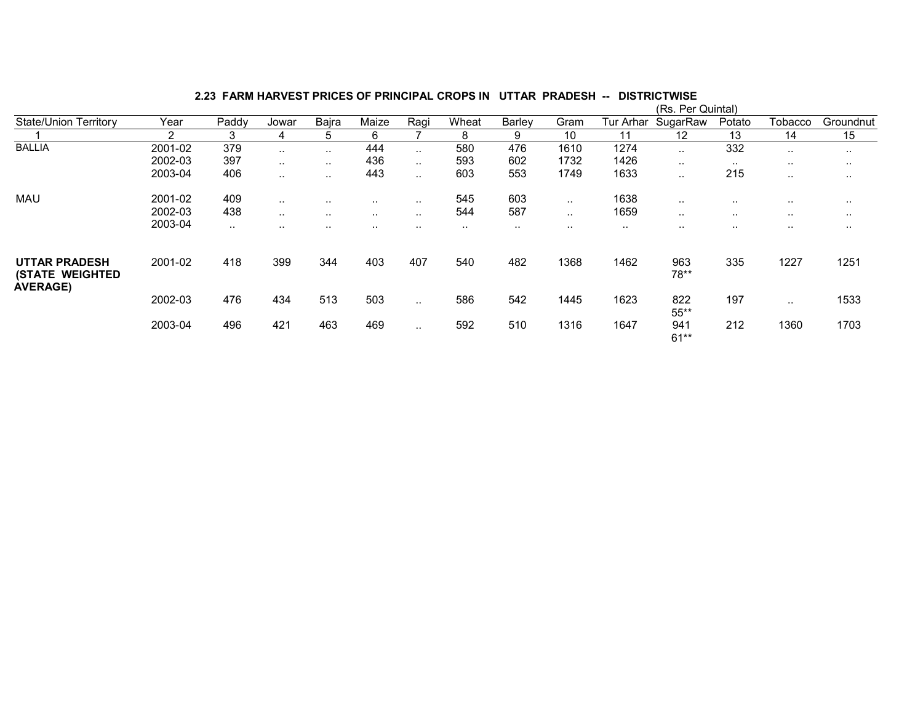|                                                 |         |               |               |           |               |               |       |        |           |           | (Rs. Per Quintal) |               |               |               |
|-------------------------------------------------|---------|---------------|---------------|-----------|---------------|---------------|-------|--------|-----------|-----------|-------------------|---------------|---------------|---------------|
| <b>State/Union Territory</b>                    | Year    | Paddy         | Jowar         | Bajra     | Maize         | Ragi          | Wheat | Barley | Gram      | Tur Arhar | SugarRaw          | Potato        | Tobacco       | Groundnut     |
|                                                 | 2       | 3             | 4             | b         | 6             |               | 8     | 9      | 10        | 11        | 12                | 13            | 14            | 15            |
| <b>BALLIA</b>                                   | 2001-02 | 379           | $\ddotsc$     | $\sim$    | 444           | $\sim$        | 580   | 476    | 1610      | 1274      | $\cdot$ .         | 332           | $\sim$        | $\sim$        |
|                                                 | 2002-03 | 397           | $\ddotsc$     | $\sim$    | 436           | $\sim$ $\sim$ | 593   | 602    | 1732      | 1426      | $\cdots$          | $\sim$ $\sim$ | $\cdots$      | $\sim$ $\sim$ |
|                                                 | 2003-04 | 406           | $\sim$ $\sim$ | $\cdot$ . | 443           | $\sim$ $\sim$ | 603   | 553    | 1749      | 1633      |                   | 215           | $\sim$        |               |
| <b>MAU</b>                                      | 2001-02 | 409           | $\cdot$ .     | $\cdots$  | $\sim$        | $\cdots$      | 545   | 603    | $\sim$    | 1638      | $\cdots$          | $\cdots$      | $\cdots$      | . .           |
|                                                 | 2002-03 | 438           | $\sim$ $\sim$ | $\sim$    | $\sim$ $\sim$ | $\sim$ $\sim$ | 544   | 587    | $\cdot$ . | 1659      | $\cdots$          | $\sim$ $\sim$ | $\sim$ $\sim$ | $\sim$ $\sim$ |
|                                                 | 2003-04 | $\sim$ $\sim$ | $\cdot$ .     | $\cdot$ . | $\sim$        | $\cdots$      | . .   | . .    | $\cdots$  | $\sim$    | $\sim$            | . .           | $\sim$        | . .           |
| <b>UTTAR PRADESH</b><br><b>(STATE WEIGHTED)</b> | 2001-02 | 418           | 399           | 344       | 403           | 407           | 540   | 482    | 1368      | 1462      | 963<br>78**       | 335           | 1227          | 1251          |
| <b>AVERAGE)</b>                                 | 2002-03 | 476           | 434           | 513       | 503           | $\sim$ $\sim$ | 586   | 542    | 1445      | 1623      | 822<br>$55***$    | 197           | $\sim$ $\sim$ | 1533          |
|                                                 | 2003-04 | 496           | 421           | 463       | 469           | $\cdot$ .     | 592   | 510    | 1316      | 1647      | 941<br>$61**$     | 212           | 1360          | 1703          |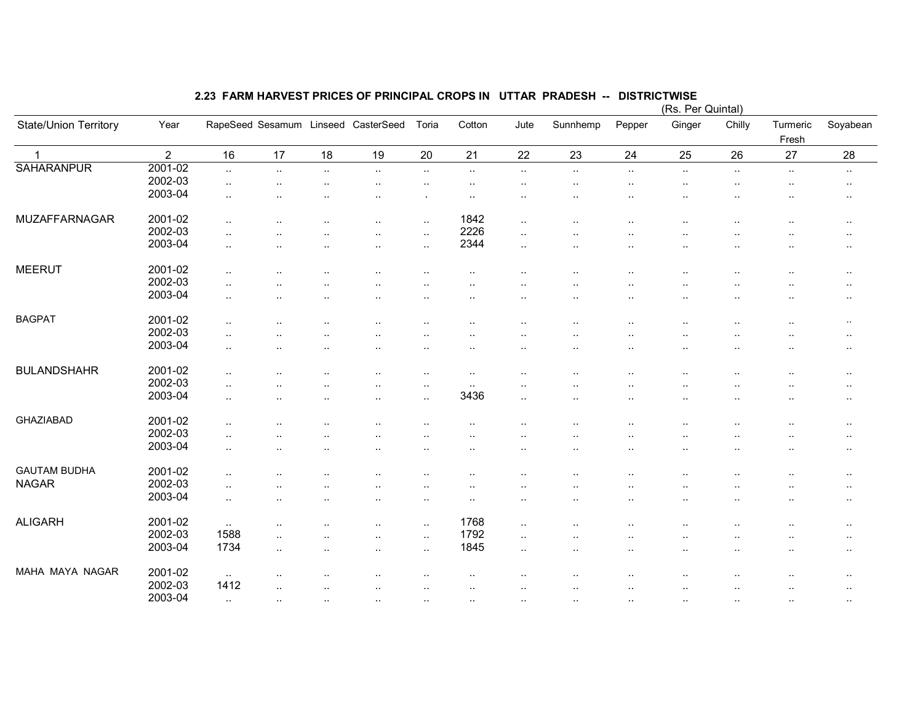|                       |                |                                |                      |           |                                     |                                |                      |                      |           |           | $(KS. Peff$ Quintary   |                      |                   |                                     |
|-----------------------|----------------|--------------------------------|----------------------|-----------|-------------------------------------|--------------------------------|----------------------|----------------------|-----------|-----------|------------------------|----------------------|-------------------|-------------------------------------|
| State/Union Territory | Year           |                                |                      |           | RapeSeed Sesamum Linseed CasterSeed | Toria                          | Cotton               | Jute                 | Sunnhemp  | Pepper    | Ginger                 | Chilly               | Turmeric<br>Fresh | Soyabean                            |
| $\mathbf 1$           | $\overline{2}$ | 16                             | 17                   | 18        | 19                                  | 20                             | 21                   | 22                   | 23        | 24        | 25                     | 26                   | 27                | 28                                  |
| <b>SAHARANPUR</b>     | 2001-02        | $\ddotsc$                      | $\ddotsc$            | $\ddotsc$ | $\ddot{\phantom{1}}$                | $\sim$ .                       | $\cdot$ .            | $\ddotsc$            | $\cdot$ . | $\ldots$  | $\cdot$ .              | $\sim$               | $\sim$            | $\sim$                              |
|                       | 2002-03        | $\sim$                         |                      |           | ٠.                                  |                                |                      |                      |           |           |                        |                      |                   | $\sim$                              |
|                       | 2003-04        | $\cdot$ .                      |                      |           |                                     |                                |                      |                      |           |           |                        |                      |                   | $\cdot$ .                           |
| MUZAFFARNAGAR         | 2001-02        | $\ddot{\phantom{a}}$           |                      |           | $\ddotsc$                           | $\ddotsc$                      | 1842                 | $\ddotsc$            |           |           | ٠.                     |                      |                   | $\ddot{\phantom{1}}$ .              |
|                       | 2002-03        | $\ddot{\phantom{a}}$           |                      |           | ٠.                                  | $\sim$                         | 2226                 |                      |           |           |                        |                      |                   | $\ddotsc$                           |
|                       | 2003-04        | $\ddot{\phantom{a}}$           |                      | $\cdot$ . | $\ddotsc$                           | $\ddotsc$                      | 2344                 | $\cdot$ .            |           | $\cdot$ . |                        |                      |                   | $\sim$                              |
| <b>MEERUT</b>         | 2001-02        | $\ddotsc$                      |                      |           |                                     |                                | $\cdot$ .            |                      |           |           |                        |                      |                   | $\sim$                              |
|                       | 2002-03        | $\ddotsc$                      |                      |           |                                     |                                |                      |                      |           |           |                        |                      |                   | $\ddotsc$                           |
|                       | 2003-04        | $\ddot{\phantom{a}}$           |                      |           | ٠.                                  |                                | $\ddot{\phantom{0}}$ | $\ddot{\phantom{a}}$ |           |           | $\sim$                 |                      |                   | $\ldots$                            |
| <b>BAGPAT</b>         | 2001-02        | $\sim$                         |                      |           |                                     |                                |                      |                      |           |           |                        |                      |                   | $\sim$                              |
|                       | 2002-03        | $\ddot{\phantom{a}}$           |                      |           |                                     |                                |                      |                      |           |           |                        |                      |                   |                                     |
|                       | 2003-04        | $\ddot{\phantom{a}}$           |                      |           | ٠.                                  | $\ddotsc$                      | $\ddot{\phantom{0}}$ |                      |           |           | $\cdot$ .<br>$\cdot$ . |                      |                   | $\sim$<br>$\sim$                    |
| <b>BULANDSHAHR</b>    | 2001-02        |                                |                      |           |                                     |                                |                      |                      |           |           |                        |                      |                   |                                     |
|                       | 2002-03        | $\ddot{\phantom{0}}$           |                      |           |                                     | $\ddotsc$                      | $\ddot{\phantom{0}}$ |                      |           |           |                        |                      |                   | $\sim$                              |
|                       | 2003-04        | $\sim$<br>$\ddot{\phantom{a}}$ |                      |           | $\ddot{\phantom{a}}$                | $\sim$<br>$\ddot{\phantom{a}}$ | $\cdot$ .<br>3436    | $\ldots$             |           |           | $\cdot$ .              |                      |                   | $\sim$<br>$\ddotsc$                 |
| <b>GHAZIABAD</b>      | 2001-02        |                                |                      |           |                                     |                                |                      |                      |           |           |                        |                      |                   |                                     |
|                       | 2002-03        |                                |                      |           |                                     |                                |                      |                      |           |           |                        |                      |                   | $\sim$                              |
|                       |                | $\ddot{\phantom{a}}$           |                      |           |                                     |                                | $\ddot{\phantom{0}}$ |                      |           |           |                        |                      |                   | $\sim$                              |
|                       | 2003-04        | $\ddot{\phantom{a}}$ .         |                      |           | ٠.                                  | $\ddot{\phantom{1}}$ .         | $\cdot$ .            |                      |           |           | $\sim$                 |                      |                   | $\sim$                              |
| <b>GAUTAM BUDHA</b>   | 2001-02        | $\ddotsc$                      |                      |           |                                     |                                |                      |                      |           |           |                        |                      |                   | $\sim$                              |
| <b>NAGAR</b>          | 2002-03        | $\ddot{\phantom{a}}$ .         |                      |           |                                     |                                |                      |                      |           |           | $\cdot$ .              |                      |                   | $\ddotsc$                           |
|                       | 2003-04        | $\cdot$ .                      |                      |           | ٠.                                  | $\ddotsc$                      | $\ddot{\phantom{0}}$ |                      |           |           | $\cdot$ .              | ٠.                   |                   | $\sim$                              |
| <b>ALIGARH</b>        | 2001-02        | $\sim$                         |                      |           | $\ddot{\phantom{a}}$                | $\ddotsc$                      | 1768                 | $\cdot$ .            |           |           |                        |                      |                   | $\ddot{\phantom{a}}$                |
|                       | 2002-03        | 1588                           | $\ddot{\phantom{a}}$ |           |                                     | $\ddotsc$                      | 1792                 | ٠.                   |           |           |                        |                      |                   |                                     |
|                       | 2003-04        | 1734                           | $\ddot{\phantom{a}}$ | $\cdot$ . | $\ddot{\phantom{a}}$                | $\sim$ .                       | 1845                 | $\cdot$ .            | $\cdot$ . | $\cdot$ . |                        | $\ddot{\phantom{a}}$ |                   | $\ddot{\phantom{1}}$ .<br>$\ddotsc$ |
| MAHA MAYA NAGAR       | 2001-02        |                                |                      |           |                                     |                                |                      |                      |           |           |                        |                      |                   |                                     |
|                       | 2002-03        | $\ldots$<br>1412               |                      |           |                                     |                                |                      |                      |           |           |                        |                      |                   | $\ddotsc$                           |
|                       | 2003-04        |                                |                      |           |                                     |                                |                      |                      |           |           |                        |                      |                   | $\ddotsc$                           |
|                       |                |                                |                      |           |                                     |                                |                      |                      |           |           |                        |                      |                   |                                     |

# 2.23 FARM HARVEST PRICES OF PRINCIPAL CROPS IN UTTAR PRADESH -- DISTRICTWISE (Rs. Per Quintal)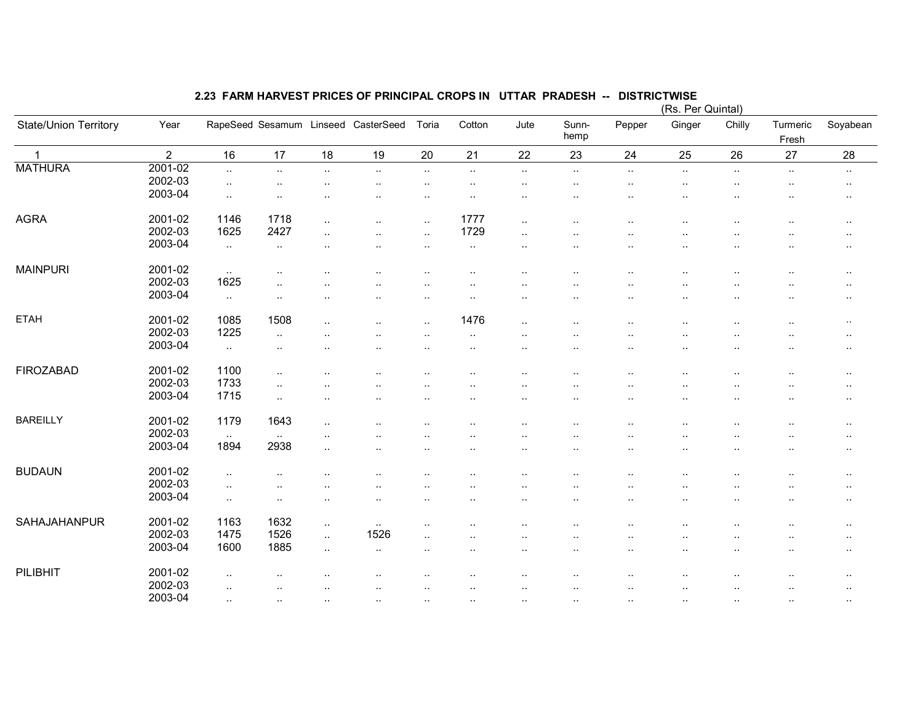|                       |                |                      |                      |                      |                                     |                      |                      |                      |                      |                      | (Rs. Per Quintal)    |                      |                      |                        |
|-----------------------|----------------|----------------------|----------------------|----------------------|-------------------------------------|----------------------|----------------------|----------------------|----------------------|----------------------|----------------------|----------------------|----------------------|------------------------|
| State/Union Territory | Year           |                      |                      |                      | RapeSeed Sesamum Linseed CasterSeed | Toria                | Cotton               | Jute                 | Sunn-<br>hemp        | Pepper               | Ginger               | Chilly               | Turmeric<br>Fresh    | Soyabean               |
| $\mathbf{1}$          | $\overline{2}$ | 16                   | 17                   | 18                   | 19                                  | 20                   | 21                   | 22                   | 23                   | 24                   | 25                   | 26                   | 27                   | 28                     |
| <b>MATHURA</b>        | 2001-02        | $\ldots$             | $\sim$               | $\ldots$             | $\ldots$                            | $\sim$               | $\sim$               | $\sim$               | $\cdot$ .            | $\sim$               | $\sim$               | $\sim$               | $\ldots$             | $\sim$                 |
|                       | 2002-03        | $\sim$               |                      | $\ddot{\phantom{a}}$ | ٠.                                  | $\sim$               | $\cdot$ .            | $\cdot$ .            | $\cdot$ .            | $\cdot$ .            | $\sim$               | $\sim$               | $\cdot$ .            | $\cdot$ .              |
|                       | 2003-04        | $\ddotsc$            | $\cdot$ .            |                      |                                     | $\ddotsc$            | $\ddotsc$            | $\ddotsc$            | $\ddotsc$            | $\ddot{\phantom{a}}$ | $\ddotsc$            | $\ddotsc$            | $\ddotsc$            | $\sim$                 |
| <b>AGRA</b>           | 2001-02        | 1146                 | 1718                 | $\ddotsc$            | ٠.                                  | $\ddot{\phantom{a}}$ | 1777                 | $\ddotsc$            | ٠.                   | . .                  | $\ddot{\phantom{a}}$ |                      | $\cdot$ .            |                        |
|                       | 2002-03        | 1625                 | 2427                 |                      |                                     |                      | 1729                 |                      |                      |                      |                      |                      |                      | $\cdot$ .              |
|                       | 2003-04        |                      |                      | μ.                   | ٠.                                  | $\ddotsc$            |                      | $\ddot{\phantom{a}}$ |                      |                      |                      |                      |                      | $\sim$                 |
|                       |                | $\ddotsc$            | $\sim$               |                      |                                     | $\ddotsc$            | $\cdot$ .            | $\cdot$ .            | .,                   |                      | $\ddot{\phantom{a}}$ |                      |                      | $\cdot$ .              |
| <b>MAINPURI</b>       | 2001-02        | $\sim$               |                      |                      |                                     |                      | $\ddotsc$            | $\ddotsc$            | ٠.                   |                      |                      |                      |                      | $\cdot$ .              |
|                       | 2002-03        | 1625                 | $\cdot$ .            |                      |                                     |                      |                      |                      |                      |                      |                      |                      |                      | $\ddot{\phantom{1}}$ . |
|                       | 2003-04        | $\sim$               | $\ddot{\phantom{a}}$ | $\cdot$ .            |                                     | $\ddotsc$            | $\cdot$ .            | $\ddotsc$            | $\ddot{\phantom{a}}$ |                      |                      | $\ddotsc$            | $\ddot{\phantom{a}}$ | $\ddotsc$              |
| <b>ETAH</b>           | 2001-02        | 1085                 | 1508                 | $\ddot{\phantom{a}}$ |                                     | $\ddotsc$            | 1476                 | $\ddot{\phantom{a}}$ | ٠.                   |                      | $\ddot{\phantom{a}}$ | $\ddot{\phantom{a}}$ | $\ddot{\phantom{a}}$ | $\sim$                 |
|                       | 2002-03        | 1225                 | $\ddotsc$            |                      |                                     |                      | $\cdot$ .            | $\ddot{\phantom{a}}$ | ٠.                   |                      |                      | ٠.                   |                      | $\cdot$ .              |
|                       | 2003-04        | $\sim$               | $\ddotsc$            |                      |                                     |                      | $\ddotsc$            | $\ddotsc$            | ٠.                   |                      | ٠.                   | $\ddotsc$            |                      | $\cdot$ .              |
| <b>FIROZABAD</b>      | 2001-02        | 1100                 |                      |                      |                                     |                      |                      |                      |                      |                      |                      |                      |                      |                        |
|                       | 2002-03        | 1733                 | $\sim$               |                      |                                     | $\ddotsc$            | $\sim$               | $\ddot{\phantom{a}}$ | ٠.                   |                      |                      | $\ddotsc$            | $\sim$               | $\cdot$ .              |
|                       | 2003-04        | 1715                 | $\cdot$ .            |                      |                                     |                      |                      |                      |                      |                      | . .                  |                      |                      | $\cdot$ .              |
|                       |                |                      | $\ldots$             |                      |                                     |                      |                      | $\ddot{\phantom{a}}$ |                      |                      |                      |                      |                      | $\cdot$ .              |
| <b>BAREILLY</b>       | 2001-02        | 1179                 | 1643                 |                      |                                     |                      |                      |                      |                      |                      |                      |                      |                      | $\cdot$ .              |
|                       | 2002-03        | $\sim$               | $\sim$ $\sim$        |                      |                                     | $\ddot{\phantom{a}}$ |                      | $\ddot{\phantom{a}}$ | $\ddotsc$            | $\ddot{\phantom{a}}$ |                      | $\ddot{\phantom{a}}$ | $\ddot{\phantom{0}}$ | $\cdot$ .              |
|                       | 2003-04        | 1894                 | 2938                 | $\cdot$ .            | $\cdot$ .                           | $\ddotsc$            | $\ddotsc$            | $\cdot$ .            | $\cdot$ .            | $\ddotsc$            | $\sim$               | $\cdot$ .            | $\ddotsc$            | $\cdot$ .              |
| <b>BUDAUN</b>         | 2001-02        | $\ddotsc$            |                      |                      |                                     |                      |                      | $\ddot{\phantom{a}}$ |                      |                      |                      |                      |                      | $\cdot$ .              |
|                       | 2002-03        | $\sim$               | $\cdot$ .            |                      |                                     |                      |                      | $\ddot{\phantom{a}}$ |                      |                      | . .                  |                      |                      | $\cdot$ .              |
|                       | 2003-04        | $\ddot{\phantom{1}}$ | $\cdot$ .            | $\cdot$ .            | $\cdot$ .                           | $\ddotsc$            | $\cdot$ .            | $\ddotsc$            | $\cdot$ .            | $\ddot{\phantom{a}}$ | $\ddotsc$            | $\ddotsc$            | $\ddotsc$            | $\cdot$ .              |
| SAHAJAHANPUR          | 2001-02        | 1163                 | 1632                 | $\cdot$ .            |                                     | $\cdot$ .            | $\ddot{\phantom{0}}$ |                      |                      |                      |                      |                      |                      |                        |
|                       | 2002-03        | 1475                 | 1526                 |                      | $\sim$<br>1526                      |                      |                      |                      | ٠.                   |                      |                      |                      |                      | $\cdot$ .              |
|                       | 2003-04        | 1600                 | 1885                 | $\ddotsc$            |                                     | $\ddotsc$            |                      |                      |                      |                      |                      |                      |                      | $\ddot{\phantom{1}}$ . |
|                       |                |                      |                      | $\cdot$ .            | $\sim$                              | $\ddotsc$            | $\ddot{\phantom{0}}$ | $\ddot{\phantom{a}}$ | ٠.                   |                      | $\ddot{\phantom{a}}$ | $\ddotsc$            | $\cdot$ .            | $\cdot$ .              |
| PILIBHIT              | 2001-02        | $\ddotsc$            |                      |                      |                                     |                      |                      | $\ddot{\phantom{a}}$ | $\ddotsc$            |                      |                      | $\ddotsc$            |                      | $\cdot$ .              |
|                       | 2002-03        | $\ddotsc$            |                      |                      | ٠.                                  |                      | $\ddotsc$            | $\ddotsc$            | $\ddotsc$            | $\ddotsc$            |                      | $\ddotsc$            | $\ddotsc$            | $\cdot$ .              |
|                       | 2003-04        |                      |                      |                      |                                     |                      |                      |                      |                      |                      |                      |                      |                      |                        |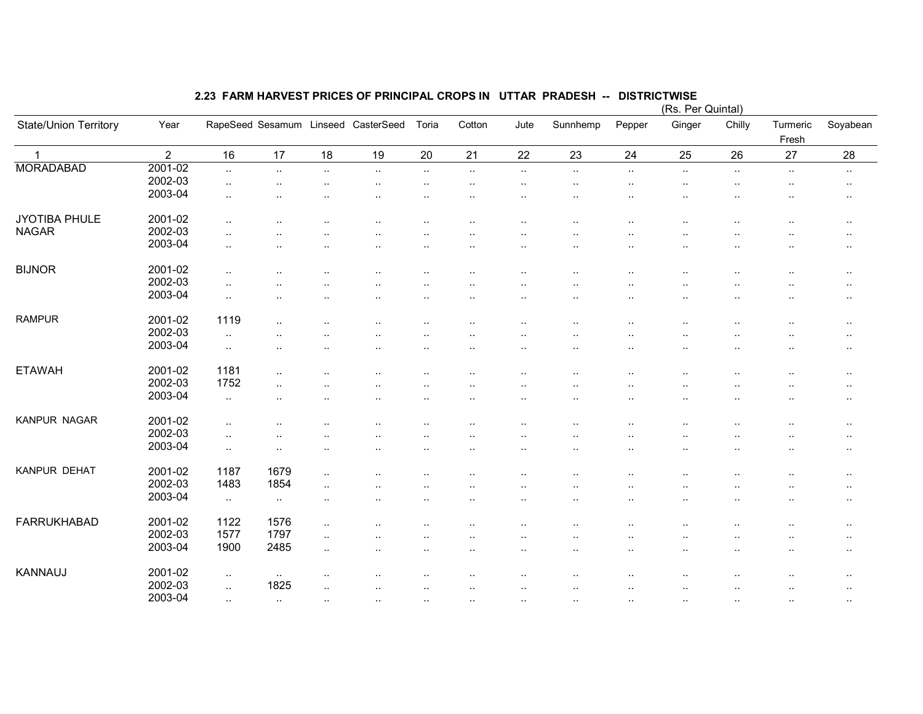|                       |                |                      |               |           |                                     |                        |                          |                     |                        |                      | (Rs. Per Quintal)    |           |                        |                        |
|-----------------------|----------------|----------------------|---------------|-----------|-------------------------------------|------------------------|--------------------------|---------------------|------------------------|----------------------|----------------------|-----------|------------------------|------------------------|
| State/Union Territory | Year           |                      |               |           | RapeSeed Sesamum Linseed CasterSeed | Toria                  | Cotton                   | Jute                | Sunnhemp               | Pepper               | Ginger               | Chilly    | Turmeric<br>Fresh      | Soyabean               |
| $\mathbf{1}$          | $\overline{2}$ | 16                   | 17            | 18        | 19                                  | 20                     | 21                       | 22                  | 23                     | 24                   | 25                   | 26        | 27                     | 28                     |
| <b>MORADABAD</b>      | 2001-02        | $\ldots$             | $\ldots$      | $\sim$    | $\sim$                              | $\sim$                 | $\ldots$                 | $\sim$              | $\sim$                 | $\sim$               | $\ddotsc$            | $\sim$    | $\sim$                 | $\sim$                 |
|                       | 2002-03        | $\ddotsc$            | $\ddotsc$     | ٠.        | $\ddot{\phantom{1}}$                | $\sim$                 | $\cdot$ .                | $\cdot$ .           | $\cdot$ .              | $\sim$               | $\cdot$ .            | $\cdot$ . | $\sim$                 | $\cdot$ .              |
|                       | 2003-04        | $\ddotsc$            | $\ddotsc$     |           | ٠.                                  | $\ddotsc$              |                          |                     | $\ddotsc$              |                      |                      | $\ddotsc$ | ٠.                     | $\sim$                 |
|                       |                |                      |               |           |                                     |                        |                          |                     |                        |                      |                      |           |                        |                        |
| JYOTIBA PHULE         | 2001-02        | $\ddot{\phantom{1}}$ |               |           |                                     |                        |                          | $\cdot$             | $\cdot$ .              | $\cdot$ .            | $\cdot$ .            |           |                        | $\sim$                 |
| <b>NAGAR</b>          | 2002-03        | $\ddotsc$            |               |           |                                     |                        |                          | . .                 |                        |                      |                      |           |                        | $\sim$                 |
|                       | 2003-04        | $\ddotsc$            | $\cdot$ .     |           |                                     | $\ddotsc$              |                          |                     | ٠.                     |                      | ٠.                   |           | ٠.                     | $\cdot$ .              |
| <b>BIJNOR</b>         | 2001-02        |                      |               |           |                                     |                        |                          |                     |                        |                      |                      |           |                        |                        |
|                       | 2002-03        | $\sim$               |               |           |                                     | $\sim$                 | $\ddot{\phantom{a}}$     |                     |                        |                      | ٠.                   |           | ٠.                     | $\cdot$ .              |
|                       |                | $\ddotsc$            |               |           |                                     |                        |                          |                     |                        |                      |                      |           | $\ddot{\phantom{0}}$   | $\ddotsc$              |
|                       | 2003-04        | $\ddotsc$            |               |           | ٠.                                  | $\sim$                 | $\ddot{\phantom{a}}$     | $\cdot$ .           | $\cdot$ .              | ٠.                   | $\sim$               | ٠.        | $\ddotsc$              | $\sim$                 |
| <b>RAMPUR</b>         | 2001-02        | 1119                 | $\ddotsc$     |           |                                     | $\ddotsc$              |                          | ٠.                  |                        |                      |                      |           | ٠.                     | $\cdot$ .              |
|                       | 2002-03        | $\sim$               |               |           |                                     |                        |                          |                     |                        |                      |                      |           |                        | $\sim$                 |
|                       | 2003-04        | $\sim$               |               |           |                                     | $\ddotsc$              |                          | $\cdot$ .           | $\ddotsc$              |                      | $\cdot$ .            |           | $\ddotsc$              | $\sim$                 |
|                       |                |                      |               |           |                                     |                        |                          |                     |                        |                      |                      |           |                        |                        |
| <b>ETAWAH</b>         | 2001-02        | 1181                 | $\cdot$ .     |           |                                     | $\ddot{\phantom{0}}$   |                          |                     |                        |                      |                      |           |                        | $\sim$                 |
|                       | 2002-03        | 1752                 | $\ldots$      |           |                                     | $\ddot{\phantom{0}}$   |                          |                     |                        |                      |                      |           |                        | $\cdot$ .              |
|                       | 2003-04        | $\sim$               |               |           |                                     | $\ddot{\phantom{a}}$   |                          |                     |                        |                      |                      |           |                        | $\ddotsc$              |
| KANPUR NAGAR          | 2001-02        | $\ddot{\phantom{a}}$ |               |           |                                     |                        |                          |                     |                        |                      |                      |           |                        | $\sim$                 |
|                       | 2002-03        |                      |               |           |                                     |                        |                          |                     |                        |                      |                      |           |                        |                        |
|                       | 2003-04        | $\sim$<br>$\ddotsc$  | $\sim$        | <br>      |                                     | $\cdot$ .<br>$\ddotsc$ | $\ddot{\phantom{a}}$<br> | $\sim$<br>$\cdot$ . | $\cdot$ .<br>$\ddotsc$ | ٠.<br>               | ٠.<br>$\cdot$ .      |           | $\ddotsc$<br>$\ddotsc$ | $\cdot$ .<br>$\cdot$ . |
|                       |                |                      |               |           |                                     |                        |                          |                     |                        |                      |                      |           |                        |                        |
| KANPUR DEHAT          | 2001-02        | 1187                 | 1679          | $\ldots$  |                                     |                        |                          |                     |                        |                      |                      |           |                        | $\cdot$ .              |
|                       | 2002-03        | 1483                 | 1854          | $\ldots$  |                                     |                        |                          |                     |                        |                      | . .                  |           |                        | $\sim$                 |
|                       | 2003-04        | $\cdot$ .            | $\sim$        | ٠.        |                                     | $\ddot{\phantom{0}}$   | $\ddot{\phantom{a}}$     | $\cdot$ .           | $\cdot$ .              |                      | ٠.                   |           | $\ddotsc$              | $\cdot$ .              |
| <b>FARRUKHABAD</b>    | 2001-02        | 1122                 | 1576          |           |                                     |                        |                          |                     |                        |                      |                      |           |                        |                        |
|                       |                |                      |               | $\ddotsc$ |                                     |                        | ٠.                       |                     | $\ddot{\phantom{a}}$   |                      |                      |           |                        | $\sim$                 |
|                       | 2002-03        | 1577                 | 1797          | $\ldots$  |                                     |                        |                          |                     |                        |                      | $\ddot{\phantom{0}}$ |           |                        | $\cdot$ .              |
|                       | 2003-04        | 1900                 | 2485          | $\ddotsc$ | ٠.                                  | $\sim$                 | $\ddot{\phantom{a}}$     | $\cdot$ .           | $\cdot$ .              | $\ddot{\phantom{a}}$ | $\cdot$ .            |           | $\ddotsc$              | $\sim$                 |
| KANNAUJ               | 2001-02        | $\ldots$             | $\sim$        |           |                                     |                        |                          |                     |                        |                      |                      |           |                        | $\sim$                 |
|                       | 2002-03        | $\ddotsc$            | 1825          |           |                                     |                        |                          |                     |                        |                      |                      |           |                        |                        |
|                       | 2003-04        |                      |               |           |                                     |                        |                          |                     |                        |                      |                      |           |                        | $\sim$                 |
|                       |                | $\sim$ $\sim$        | $\sim$ $\sim$ |           |                                     | $\cdot$ .              |                          | ٠.                  | $\cdot$ .              |                      |                      | $\cdot$ . | $\cdot$ .              | $\sim$                 |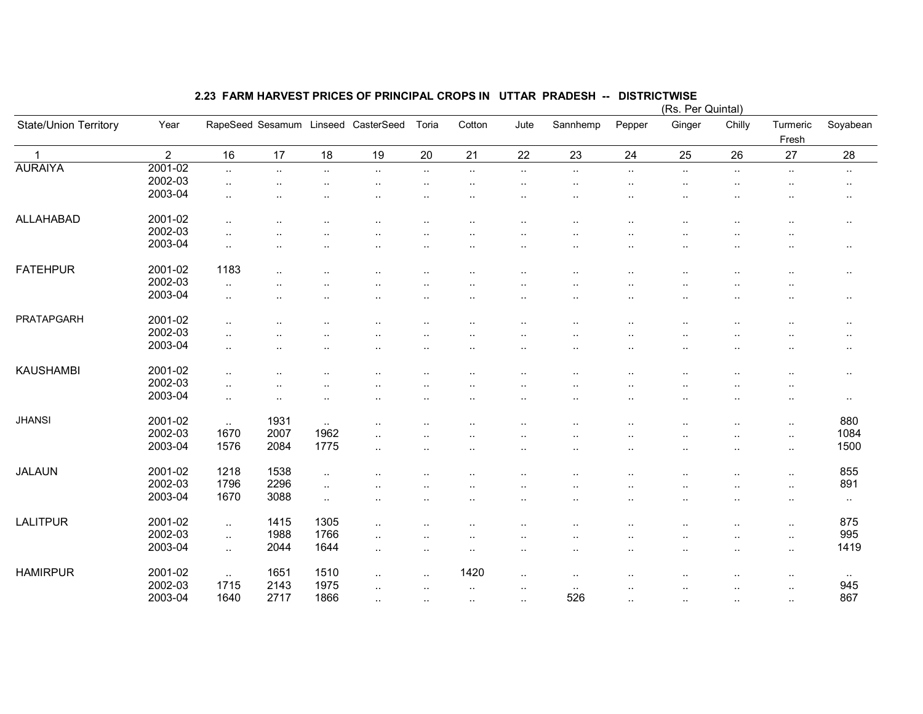|                       |                |                        |                      |           |                                     |                      |                      |                      |                      |                      |                        | (Rs. Per Quintal)    |                      |           |
|-----------------------|----------------|------------------------|----------------------|-----------|-------------------------------------|----------------------|----------------------|----------------------|----------------------|----------------------|------------------------|----------------------|----------------------|-----------|
| State/Union Territory | Year           |                        |                      |           | RapeSeed Sesamum Linseed CasterSeed | Toria                | Cotton               | Jute                 | Sannhemp             | Pepper               | Ginger                 | Chilly               | Turmeric<br>Fresh    | Soyabean  |
| $\mathbf 1$           | $\overline{2}$ | 16                     | 17                   | 18        | 19                                  | 20                   | 21                   | 22                   | 23                   | 24                   | 25                     | 26                   | 27                   | 28        |
| <b>AURAIYA</b>        | 2001-02        | $\ddotsc$              | $\ddotsc$            | $\ldots$  | $\sim$                              | $\sim$               | $\sim$               | $\ldots$             | $\ddotsc$            | $\sim$               | $\ldots$               | $\ddotsc$            | $\sim$               | $\sim$    |
|                       | 2002-03        | $\sim$                 |                      | $\cdot$ . | $\ddotsc$                           | $\cdot$ .            | $\cdot$ .            | $\cdot$ .            | ٠.                   | $\ddotsc$            | $\cdot$ .              | $\cdot$ .            | $\ddotsc$            | $\sim$    |
|                       | 2003-04        | $\cdot$ .              |                      |           | ٠.                                  | $\ddotsc$            | $\ddot{\phantom{a}}$ | $\cdot$ .            | $\ddot{\phantom{a}}$ | $\ddot{\phantom{a}}$ | $\cdot$ .              | $\cdot$ .            |                      | $\sim$    |
|                       |                |                        |                      |           |                                     |                      |                      |                      |                      |                      |                        |                      |                      |           |
| ALLAHABAD             | 2001-02        | $\ddotsc$              |                      |           | ٠.                                  | $\ddot{\phantom{0}}$ | $\cdot$ .            | $\cdot$ .            |                      | $\ddot{\phantom{a}}$ | $\cdot$ .              | $\ddot{\phantom{0}}$ |                      | $\sim$    |
|                       | 2002-03        | $\ddot{\phantom{a}}$ . |                      |           |                                     |                      |                      |                      |                      |                      |                        |                      |                      |           |
|                       | 2003-04        | $\ddotsc$              |                      |           |                                     |                      |                      |                      |                      |                      |                        |                      |                      | $\cdot$ . |
| <b>FATEHPUR</b>       | 2001-02        | 1183                   |                      |           |                                     |                      |                      |                      |                      |                      |                        |                      |                      |           |
|                       | 2002-03        |                        | $\cdot$ .            |           | . .                                 |                      | $\cdot$ .            | $\cdot$ .            | $\ddot{\phantom{a}}$ |                      | $\cdot$ .              | $\ddot{\phantom{0}}$ |                      | $\sim$    |
|                       | 2003-04        | $\ddotsc$              | $\cdot$ .            |           |                                     |                      | $\cdot$ .            | $\cdot$ .            |                      |                      | $\cdot$ .              | . .                  |                      |           |
|                       |                | $\ddotsc$              |                      | $\cdot$ . | ٠.                                  | $\ddotsc$            | $\ddot{\phantom{a}}$ | $\ddot{\phantom{a}}$ | $\ddot{\phantom{a}}$ | $\ddotsc$            | $\ddot{\phantom{a}}$   |                      | $\ddotsc$            | $\cdot$ . |
| PRATAPGARH            | 2001-02        | $\cdot$ .              |                      |           |                                     |                      |                      |                      |                      |                      |                        |                      |                      | $\sim$    |
|                       | 2002-03        | $\ddot{\phantom{1}}$   | $\cdot$              |           |                                     |                      | $\cdot$ .            |                      |                      | $\cdot$ .            |                        |                      |                      | $\ddotsc$ |
|                       | 2003-04        | $\ddot{\phantom{a}}$ . | $\ddot{\phantom{a}}$ |           | ٠.                                  | $\ddotsc$            | $\ddot{\phantom{a}}$ | $\ddot{\phantom{a}}$ | ٠.                   | $\ddotsc$            | $\ddot{\phantom{a}}$   | . .                  | . .                  | $\sim$    |
| <b>KAUSHAMBI</b>      | 2001-02        |                        |                      |           |                                     |                      |                      |                      |                      |                      |                        |                      |                      |           |
|                       |                | $\ddotsc$              |                      |           |                                     |                      | ٠.                   |                      |                      |                      |                        | . .                  |                      | $\sim$    |
|                       | 2002-03        | $\ddotsc$              | $\ddot{\phantom{a}}$ |           |                                     |                      |                      |                      |                      |                      |                        |                      |                      |           |
|                       | 2003-04        | $\sim$                 | $\cdot$ .            | $\cdot$ . | $\ddot{\phantom{a}}$                |                      | $\cdot$ .            |                      |                      | $\cdot$ .            | ٠.                     |                      | $\ddot{\phantom{a}}$ | $\sim$    |
| <b>JHANSI</b>         | 2001-02        | $\sim$                 | 1931                 | $\ldots$  |                                     |                      |                      |                      |                      |                      |                        |                      | $\sim$               | 880       |
|                       | 2002-03        | 1670                   | 2007                 | 1962      | $\ddotsc$                           |                      | $\cdot$ .            | $\cdot$ .            |                      | $\cdot$ .            |                        | $\ddot{\phantom{a}}$ | $\ddotsc$            | 1084      |
|                       | 2003-04        | 1576                   | 2084                 | 1775      | $\ddotsc$                           | $\cdot$ .            | $\cdot$ .            | $\cdot$ .            | $\ddot{\phantom{a}}$ | $\ddot{\phantom{a}}$ |                        | $\cdot$ .            | $\sim$               | 1500      |
|                       |                |                        |                      |           |                                     |                      |                      |                      |                      |                      |                        |                      |                      |           |
| JALAUN                | 2001-02        | 1218                   | 1538                 | $\ddotsc$ |                                     |                      |                      |                      |                      |                      |                        |                      | $\cdot$ .            | 855       |
|                       | 2002-03        | 1796                   | 2296                 | $\ddotsc$ |                                     |                      |                      |                      |                      |                      |                        |                      | $\cdot$ .            | 891       |
|                       | 2003-04        | 1670                   | 3088                 | ä.        |                                     |                      |                      | $\cdot$ .            | $\ddot{\phantom{a}}$ |                      |                        | $\ddot{\phantom{a}}$ | $\ddotsc$            | $\sim$    |
| <b>LALITPUR</b>       | 2001-02        | $\mathbf{L}$           | 1415                 | 1305      | $\ddotsc$                           |                      | $\cdot$ .            | $\cdot$ .            |                      |                      |                        | $\ddot{\phantom{a}}$ | $\ddotsc$            | 875       |
|                       | 2002-03        | $\sim$                 | 1988                 | 1766      | $\cdot$ .                           |                      |                      |                      |                      |                      |                        | $\ddot{\phantom{a}}$ | $\sim$               | 995       |
|                       | 2003-04        | $\ddotsc$              | 2044                 | 1644      | $\cdot$ .                           | $\cdot$ .            | $\cdot$ .            | $\cdot$ .            | ٠.                   | $\cdot$ .            | $\sim$                 | $\cdot$ .            | $\sim$               | 1419      |
|                       |                |                        |                      |           |                                     |                      |                      |                      |                      |                      |                        |                      |                      |           |
| <b>HAMIRPUR</b>       | 2001-02        | $\sim$                 | 1651                 | 1510      | $\cdot$ .                           | $\ddot{\phantom{a}}$ | 1420                 | $\cdot$ .            | $\cdot$ .            |                      |                        |                      | ٠.                   | $\sim$    |
|                       | 2002-03        | 1715                   | 2143                 | 1975      | $\cdot$ .                           |                      | $\cdot$ .            | $\cdot$ .            | $\cdot$ .            |                      |                        |                      |                      | 945       |
|                       | 2003-04        | 1640                   | 2717                 | 1866      | $\sim$                              | $\cdot$ .            | $\cdot$ .            | $\sim$               | 526                  | $\sim$               | $\ddot{\phantom{a}}$ . | $\cdot$ .            | $\sim$               | 867       |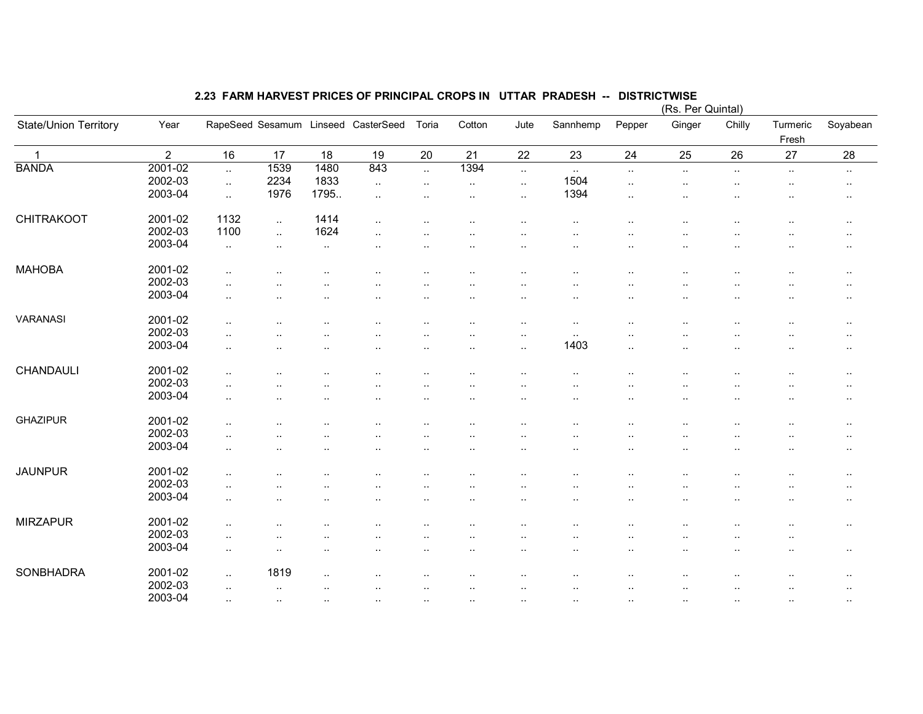|                       |                |                        |               |                      |                                     |                                     |                             |                                   |                              |                          | (Rs. Per Quintal)   |           |                      |                        |
|-----------------------|----------------|------------------------|---------------|----------------------|-------------------------------------|-------------------------------------|-----------------------------|-----------------------------------|------------------------------|--------------------------|---------------------|-----------|----------------------|------------------------|
| State/Union Territory | Year           |                        |               |                      | RapeSeed Sesamum Linseed CasterSeed | Toria                               | Cotton                      | Jute                              | Sannhemp                     | Pepper                   | Ginger              | Chilly    | Turmeric<br>Fresh    | Soyabean               |
| $\overline{1}$        | $\overline{2}$ | 16                     | 17            | 18                   | 19                                  | 20                                  | 21                          | 22                                | 23                           | 24                       | 25                  | 26        | 27                   | 28                     |
| <b>BANDA</b>          | 2001-02        | $\ddotsc$              | 1539          | 1480                 | 843                                 | $\ddotsc$                           | 1394                        | $\ldots$                          | $\sim$                       | $\sim$                   | $\sim$              | $\sim$    | $\sim$               | $\sim$                 |
|                       | 2002-03        | $\ddotsc$              | 2234          | 1833                 | $\sim$                              | $\sim$                              | $\sim$                      | $\cdot$ .                         | 1504                         | $\sim$                   | $\cdot$ .           | $\sim$    | $\cdot$ .            | $\sim$                 |
|                       | 2003-04        | $\ddot{\phantom{a}}$   | 1976          | 1795                 | $\ddot{\phantom{1}}$                | $\cdot$ .                           | $\cdot$ .                   | $\cdot$ .                         | 1394                         | $\cdot$ .                | $\cdot$ .           |           | ٠.                   | $\sim$                 |
| <b>CHITRAKOOT</b>     | 2001-02        | 1132                   | $\sim$        | 1414                 | $\ddotsc$                           | $\ddot{\phantom{a}}$                | $\cdot$ .                   | $\cdot$ .                         | $\ddot{\phantom{a}}$         | $\cdot$ .                |                     |           | $\cdot$ .            | $\sim$                 |
|                       | 2002-03        | 1100                   | $\ddotsc$     | 1624                 | $\ddotsc$                           |                                     |                             | $\cdot$ .                         |                              |                          |                     |           |                      | $\cdot$ .              |
|                       | 2003-04        | $\ddotsc$              | $\sim$        | $\cdot$ .            | $\ddot{\phantom{a}}$                | $\ddot{\phantom{0}}$                |                             | $\ddot{\phantom{a}}$              | $\ddot{\phantom{a}}$         |                          | ٠.                  |           | ٠.                   | $\cdot$ .              |
| <b>MAHOBA</b>         | 2001-02        | $\ddotsc$              |               |                      | $\ddot{\phantom{0}}$                | $\ddot{\phantom{1}}$ .              | $\ddot{\phantom{a}}$        | $\ddot{\phantom{a}}$              | $\ddot{\phantom{a}}$         |                          | ٠.                  |           | $\ddotsc$            | $\cdot$ .              |
|                       | 2002-03        | $\ddotsc$              |               | $\ddot{\phantom{0}}$ |                                     | $\ddot{\phantom{0}}$                |                             | $\cdot$ .                         | $\ddot{\phantom{a}}$         | $\ddot{\phantom{0}}$     | $\cdot$ .           |           | $\ddot{\phantom{0}}$ | $\ddotsc$              |
|                       | 2003-04        | $\ddotsc$              |               |                      | $\ddotsc$                           | $\sim$                              | $\ddot{\phantom{a}}$        | $\cdot$ .                         | $\cdot$ .                    | $\ddot{\phantom{a}}$     | $\cdot$ .           | ٠.        | $\sim$               | $\sim$                 |
| VARANASI              | 2001-02        | $\cdot$ .              | . .           |                      |                                     | $\ddot{\phantom{1}}$ .              | $\cdot$ .                   | $\cdot$ .                         | $\cdot$ .                    |                          |                     | $\cdot$ . | $\ddotsc$            | $\sim$                 |
|                       | 2002-03        | $\ddotsc$              |               |                      |                                     |                                     |                             | $\sim$                            | $\cdot$ .                    |                          |                     |           |                      | $\sim$                 |
|                       | 2003-04        | $\ddotsc$              |               |                      |                                     | $\ddotsc$                           |                             | $\cdot$ .                         | 1403                         | $\ddotsc$                | $\cdot$ .           |           | $\ddotsc$            | $\sim$                 |
| CHANDAULI             | 2001-02        | $\ddotsc$              |               |                      |                                     |                                     |                             |                                   | $\cdot$ .                    |                          |                     | $\cdot$ . |                      | $\sim$                 |
|                       | 2002-03        | $\cdot$ .              |               |                      |                                     | $\ddot{\phantom{0}}$                |                             |                                   |                              |                          |                     |           |                      |                        |
|                       | 2003-04        | $\ddotsc$              |               | $\ddot{\phantom{a}}$ | $\ddot{\phantom{a}}$                | $\ddot{\phantom{0}}$                |                             |                                   |                              |                          |                     |           |                      | $\cdot$ .<br>$\ddotsc$ |
| <b>GHAZIPUR</b>       | 2001-02        | $\ddotsc$              |               |                      |                                     | $\ddot{\phantom{0}}$                |                             |                                   |                              |                          |                     | . .       |                      |                        |
|                       | 2002-03        |                        |               |                      |                                     |                                     |                             |                                   |                              |                          |                     |           |                      | $\sim$                 |
|                       | 2003-04        | $\ddotsc$<br>$\cdot$ . |               | <br>                 | $\ddot{\phantom{a}}$<br>            | $\ddot{\phantom{1}}$ .<br>$\ddotsc$ | $\ddot{\phantom{a}}$<br>    | $\ddot{\phantom{a}}$<br>$\cdot$ . | $\ddot{\phantom{1}}$ .<br>٠. | $\ddot{\phantom{a}}$<br> | $\sim$<br>$\cdot$ . | ٠.<br>    | $\sim$<br>$\ddotsc$  | $\cdot$ .<br>$\cdot$ . |
| <b>JAUNPUR</b>        | 2001-02        |                        |               |                      |                                     |                                     |                             |                                   |                              |                          |                     |           |                      |                        |
|                       | 2002-03        | $\ddotsc$              |               |                      |                                     |                                     |                             |                                   |                              |                          |                     |           |                      | $\sim$                 |
|                       | 2003-04        | $\ddotsc$<br>$\cdot$ . |               |                      | <br>$\ddot{\phantom{0}}$            | $\ddot{\phantom{1}}$ .              | . .<br>$\ddot{\phantom{a}}$ | <br>$\ddot{\phantom{a}}$          | $\ddot{\phantom{a}}$         |                          | <br>$\cdot$ .       | ٠.        | $\ddotsc$            | $\sim$<br>$\cdot$ .    |
|                       |                |                        |               |                      |                                     |                                     |                             |                                   |                              |                          |                     |           |                      |                        |
| <b>MIRZAPUR</b>       | 2001-02        | $\ddotsc$              |               |                      | ٠.                                  | $\ddotsc$                           |                             |                                   | $\ddot{\phantom{a}}$         |                          |                     |           | $\ddot{\phantom{a}}$ | $\sim$                 |
|                       | 2002-03        | $\ddotsc$              |               |                      |                                     |                                     |                             | $\ddot{\phantom{0}}$              |                              |                          |                     |           |                      |                        |
|                       | 2003-04        | $\ddotsc$              | $\ddotsc$     |                      | $\ddotsc$                           | $\ddotsc$                           | $\cdot$ .                   | $\cdot$ .                         | $\cdot$ .                    | $\ddotsc$                | $\cdot$ .           | $\sim$    | $\ddotsc$            | $\sim$                 |
| <b>SONBHADRA</b>      | 2001-02        | $\ddotsc$              | 1819          |                      | $\ddot{\phantom{a}}$                | $\ddotsc$                           |                             |                                   |                              |                          |                     |           |                      | $\sim$                 |
|                       | 2002-03        | $\ddot{\phantom{a}}$   | $\cdot$ .     |                      |                                     | $\ddotsc$                           |                             |                                   |                              |                          |                     |           |                      | $\sim$                 |
|                       | 2003-04        | $\sim$                 | $\sim$ $\sim$ | $\sim$               | $\sim$                              | $\sim$                              | ٠.                          | $\cdot$ .                         | $\cdot$ .                    |                          |                     |           | $\sim$               | $\sim$                 |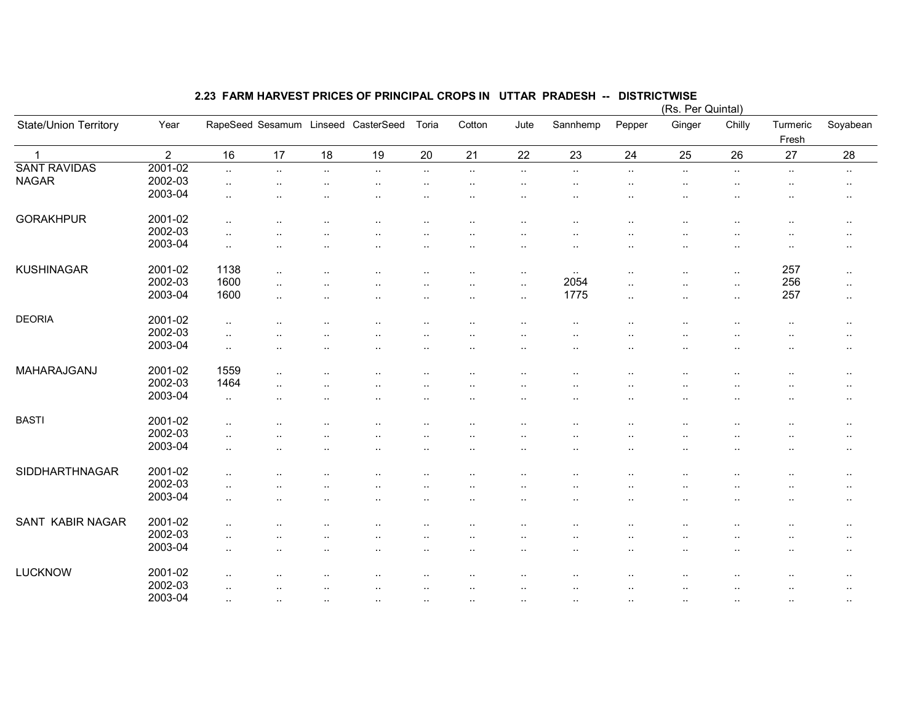|                       |                |                      | (Rs. Per Quintal)    |           |                                     |                      |                      |                      |           |           |                      |           |                   |                        |
|-----------------------|----------------|----------------------|----------------------|-----------|-------------------------------------|----------------------|----------------------|----------------------|-----------|-----------|----------------------|-----------|-------------------|------------------------|
| State/Union Territory | Year           |                      |                      |           | RapeSeed Sesamum Linseed CasterSeed | Toria                | Cotton               | Jute                 | Sannhemp  | Pepper    | Ginger               | Chilly    | Turmeric<br>Fresh | Soyabean               |
| $\mathbf{1}$          | $\overline{2}$ | 16                   | 17                   | 18        | 19                                  | 20                   | 21                   | 22                   | 23        | 24        | 25                   | 26        | 27                | 28                     |
| <b>SANT RAVIDAS</b>   | 2001-02        | $\ldots$             | $\ddotsc$            | $\ddotsc$ | $\sim$                              | $\sim$               | $\ldots$             | $\ldots$             | $\sim$    | $\sim$    | $\ldots$             | $\sim$    | $\sim$            | $\sim$                 |
| <b>NAGAR</b>          | 2002-03        | $\cdot$ .            |                      | ٠.        | ٠.                                  | $\cdot$ .            | $\cdot$ .            | $\cdot$ .            | $\cdot$ . | $\sim$    | $\cdot$ .            | $\cdot$ . | $\sim$            | $\cdot$ .              |
|                       | 2003-04        | $\ddotsc$            | $\ddotsc$            |           | ٠.                                  | $\ddotsc$            |                      | $\cdot$ .            | $\ddotsc$ |           | $\sim$               |           | ٠.                | $\sim$                 |
|                       |                |                      |                      |           |                                     |                      |                      |                      |           |           |                      |           |                   |                        |
| <b>GORAKHPUR</b>      | 2001-02        | $\ddot{\phantom{1}}$ |                      |           |                                     |                      |                      |                      |           |           | $\cdot$ .            |           |                   | $\sim$                 |
|                       | 2002-03        | $\ddotsc$            |                      |           |                                     |                      |                      |                      |           |           |                      |           | ٠.                |                        |
|                       | 2003-04        |                      |                      |           |                                     |                      |                      |                      |           |           |                      |           |                   | $\sim$                 |
|                       |                | $\cdot$ .            |                      |           |                                     | $\ddot{\phantom{0}}$ |                      | $\cdot$ .            | ٠.        |           |                      | $\cdot$ . | ٠.                | $\cdot$ .              |
| <b>KUSHINAGAR</b>     | 2001-02        | 1138                 | $\sim$               |           |                                     | $\ddotsc$            | ٠.                   | $\cdot$ .            | $\sim$    |           |                      | $\sim$    | 257               | $\sim$                 |
|                       | 2002-03        | 1600                 |                      |           |                                     |                      |                      |                      | 2054      |           | $\cdot$ .            |           | 256               |                        |
|                       |                |                      | $\cdot$ .            |           |                                     |                      |                      | $\ddotsc$            |           | $\cdot$ . | $\cdot$ .            | $\ddotsc$ |                   | $\ddotsc$              |
|                       | 2003-04        | 1600                 | $\ldots$             |           | ٠.                                  | $\ddotsc$            | $\ddot{\phantom{a}}$ | $\sim$               | 1775      | $\ldots$  |                      | $\sim$    | 257               | $\sim$                 |
| <b>DEORIA</b>         | 2001-02        |                      |                      |           |                                     |                      |                      |                      |           |           |                      |           |                   |                        |
|                       | 2002-03        | $\ldots$             |                      |           |                                     | $\cdot$ .            | $\ddot{\phantom{a}}$ | $\sim$               | $\cdot$ . |           |                      | ٠.        | $\sim$            | $\cdot$ .              |
|                       |                | $\ddotsc$            |                      |           |                                     |                      |                      |                      |           |           |                      |           |                   | $\sim$                 |
|                       | 2003-04        | $\ddotsc$            |                      |           |                                     | $\ddotsc$            |                      | $\cdot$ .            | $\ddotsc$ |           | $\cdot$ .            |           | $\ddotsc$         | $\sim$                 |
| MAHARAJGANJ           | 2001-02        | 1559                 | $\ddot{\phantom{a}}$ |           |                                     |                      |                      |                      |           |           |                      |           |                   | $\sim$                 |
|                       | 2002-03        | 1464                 | $\ddotsc$            |           |                                     |                      |                      |                      |           |           |                      |           |                   |                        |
|                       | 2003-04        |                      |                      |           |                                     |                      |                      | ٠.                   |           |           |                      |           |                   | $\cdot$ .              |
|                       |                | $\ddotsc$            |                      |           |                                     | $\ddot{\phantom{a}}$ |                      |                      |           |           |                      |           |                   | $\ddot{\phantom{a}}$ . |
| <b>BASTI</b>          | 2001-02        | $\ddotsc$            |                      |           |                                     |                      |                      | $\ddot{\phantom{a}}$ |           |           |                      |           |                   | $\sim$                 |
|                       | 2002-03        | $\ddot{\phantom{1}}$ | $\cdot$ .            |           |                                     | $\ddotsc$            | $\cdot$ .            |                      | $\ddotsc$ | $\cdot$ . |                      |           | $\ddotsc$         | $\sim$                 |
|                       | 2003-04        |                      |                      |           |                                     |                      |                      |                      |           |           |                      |           |                   |                        |
|                       |                | $\ddotsc$            | $\cdot$ .            | ٠.        | ٠.                                  | $\sim$               |                      | $\cdot$ .            | $\cdot$ . |           | $\cdot$ .            | ٠.        | $\ddotsc$         | $\sim$                 |
| SIDDHARTHNAGAR        | 2001-02        | $\ddotsc$            |                      |           |                                     |                      |                      |                      |           |           |                      |           |                   | $\cdot$ .              |
|                       | 2002-03        | $\ddotsc$            |                      |           |                                     |                      |                      |                      |           |           |                      |           | $\ddotsc$         |                        |
|                       | 2003-04        |                      |                      |           |                                     |                      |                      |                      |           |           |                      |           |                   | $\cdot$ .              |
|                       |                | $\ddotsc$            | $\cdot$ .            |           | ٠.                                  | $\ddotsc$            |                      | $\cdot$ .            | $\cdot$ . | $\ddotsc$ | $\cdot$ .            | $\ddotsc$ | $\ddotsc$         | $\sim$                 |
| SANT KABIR NAGAR      | 2001-02        | $\ddotsc$            |                      |           |                                     | $\ddot{\phantom{a}}$ |                      | $\ddot{\phantom{a}}$ | $\cdot$ . | $\cdot$ . | $\ddot{\phantom{a}}$ |           | $\cdot$ .         | $\sim$                 |
|                       | 2002-03        |                      |                      |           |                                     |                      |                      |                      |           |           |                      |           |                   |                        |
|                       | 2003-04        | $\ddotsc$            |                      |           |                                     |                      |                      |                      |           |           |                      |           |                   | $\cdots$               |
|                       |                | $\ddot{\phantom{1}}$ |                      |           |                                     |                      | $\cdot$ .            | $\sim$               | $\cdot$ . |           | $\sim$               | $\cdot$ . | $\ddotsc$         | $\sim$                 |
| <b>LUCKNOW</b>        | 2001-02        |                      |                      |           |                                     |                      |                      |                      |           |           |                      |           |                   |                        |
|                       | 2002-03        | $\cdot$ .            |                      |           |                                     |                      |                      |                      |           |           |                      |           |                   | $\ddot{\phantom{a}}$ . |
|                       | 2003-04        | $\cdot$ .            |                      |           | ٠.                                  | $\cdot$ .            |                      | $\sim$               | $\cdot$ . |           | ٠.                   | ٠.        |                   | $\cdot$ .              |
|                       |                | $\cdot$ .            |                      |           |                                     |                      |                      |                      |           |           |                      |           |                   |                        |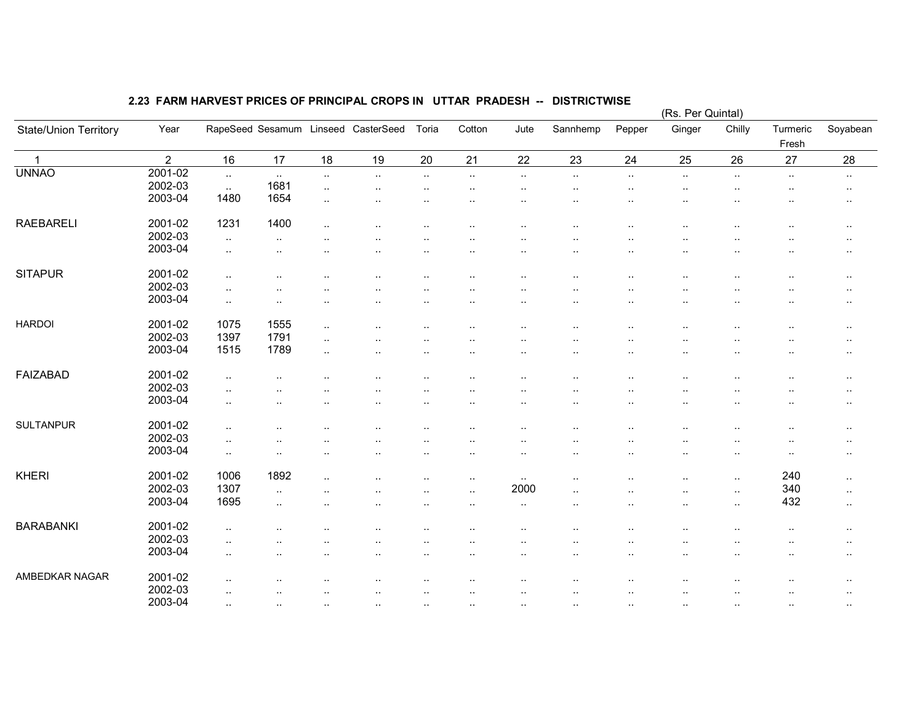|                       |                |                        |           |                      |                                     |                      |                        |                        |                      |           | (Rs. Per Quintal) |           |                   |                        |
|-----------------------|----------------|------------------------|-----------|----------------------|-------------------------------------|----------------------|------------------------|------------------------|----------------------|-----------|-------------------|-----------|-------------------|------------------------|
| State/Union Territory | Year           |                        |           |                      | RapeSeed Sesamum Linseed CasterSeed | Toria                | Cotton                 | Jute                   | Sannhemp             | Pepper    | Ginger            | Chilly    | Turmeric<br>Fresh | Soyabean               |
| $\blacktriangleleft$  | $\overline{2}$ | 16                     | 17        | 18                   | 19                                  | 20                   | 21                     | 22                     | 23                   | 24        | 25                | 26        | 27                | 28                     |
| <b>UNNAO</b>          | 2001-02        | $\sim$                 | $\sim$    | $\sim$               | $\ddotsc$                           | $\sim$ $\sim$        | $\ddot{\phantom{1}}$ . | $\cdot$ .              | $\cdot$ .            | $\sim$    | $\cdot$ .         | $\cdot$ . | $\sim$            | $\sim$                 |
|                       | 2002-03        | $\sim$                 | 1681      | $\ddotsc$            |                                     |                      | $\ddot{\phantom{0}}$   | $\ddot{\phantom{1}}$ . |                      |           |                   |           |                   | $\cdot$ .              |
|                       | 2003-04        | 1480                   | 1654      | $\cdot$ .            |                                     |                      |                        |                        |                      |           |                   |           |                   | $\ddotsc$              |
| <b>RAEBARELI</b>      | 2001-02        | 1231                   | 1400      | $\ldots$             |                                     |                      |                        |                        |                      |           |                   |           |                   | $\sim$                 |
|                       | 2002-03        | $\sim$                 | $\ddotsc$ |                      |                                     |                      |                        |                        |                      |           |                   |           |                   | $\ddot{\phantom{1}}$ . |
|                       | 2003-04        | $\sim$                 | $\cdot$ . |                      | .,                                  |                      | $\ddot{\phantom{0}}$   | $\ddot{\phantom{a}}$   |                      |           | $\cdot$ .         |           |                   | $\sim$                 |
| <b>SITAPUR</b>        | 2001-02        | $\ddotsc$              |           |                      | ٠.                                  |                      |                        |                        |                      |           |                   |           |                   | $\ddotsc$              |
|                       | 2002-03        | $\ddotsc$              |           |                      |                                     |                      |                        |                        |                      |           |                   |           |                   | ٠.                     |
|                       | 2003-04        | $\ddotsc$              |           |                      |                                     |                      |                        |                        |                      |           |                   |           |                   | $\ddotsc$              |
| <b>HARDOI</b>         | 2001-02        | 1075                   | 1555      | $\ldots$             | ٠.                                  |                      | $\ddot{\phantom{a}}$   | $\sim$                 | ٠.                   | $\ddotsc$ |                   |           |                   | $\sim$                 |
|                       | 2002-03        | 1397                   | 1791      | $\ddot{\phantom{a}}$ | ٠.                                  |                      |                        |                        |                      |           |                   |           |                   | $\cdots$               |
|                       | 2003-04        | 1515                   | 1789      | $\ldots$             | $\ddot{\phantom{a}}$                |                      |                        |                        |                      | $\ddotsc$ | $\ddotsc$         |           | ٠.                | $\sim$                 |
| <b>FAIZABAD</b>       | 2001-02        | $\ddotsc$              |           |                      |                                     |                      |                        |                        |                      |           |                   |           |                   | $\sim$                 |
|                       | 2002-03        | $\ddotsc$              |           |                      |                                     |                      |                        |                        |                      |           |                   |           |                   | $\cdot$ .              |
|                       | 2003-04        | $\ddotsc$              |           |                      |                                     |                      |                        | $\ddot{\phantom{1}}$ . |                      |           |                   |           |                   | $\ddot{\phantom{1}}$ . |
| <b>SULTANPUR</b>      | 2001-02        | $\ddotsc$              |           |                      |                                     |                      |                        |                        |                      |           |                   |           |                   | $\sim$                 |
|                       | 2002-03        | $\ddotsc$              |           |                      | $\ddot{\phantom{a}}$                | $\ddot{\phantom{a}}$ | $\ddot{\phantom{a}}$   | $\cdot$ .              | ٠.                   |           |                   | ٠.        | $\ddotsc$         | $\cdot$ .              |
|                       | 2003-04        | $\sim$                 | $\cdot$ . | $\ddot{\phantom{a}}$ | $\cdot$ .                           | $\cdot$ .            | $\sim$                 | $\cdot$ .              | $\ddot{\phantom{0}}$ | $\cdot$ . | $\cdot$ .         | $\cdot$ . | $\sim$            | $\cdot$ .              |
| <b>KHERI</b>          | 2001-02        | 1006                   | 1892      | $\ddot{\phantom{a}}$ |                                     |                      | $\cdot$ .              | $\sim$                 | $\ddot{\phantom{0}}$ |           |                   | $\ddotsc$ | 240               | $\sim$                 |
|                       | 2002-03        | 1307                   | $\ddotsc$ |                      |                                     |                      | $\cdot$ .              | 2000                   | $\ddot{\phantom{a}}$ |           |                   | $\cdot$ . | 340               | $\sim$                 |
|                       | 2003-04        | 1695                   | $\ddotsc$ |                      |                                     | $\ddot{\phantom{a}}$ |                        | $\cdot$ .              | ٠.                   |           |                   | $\ddotsc$ | 432               | $\sim$ $\sim$          |
| <b>BARABANKI</b>      | 2001-02        | $\ddotsc$              |           |                      |                                     |                      |                        |                        |                      |           |                   | ٠.        |                   |                        |
|                       | 2002-03        |                        |           |                      |                                     |                      |                        |                        |                      |           |                   |           |                   | $\sim$ $\sim$          |
|                       | 2003-04        | $\ddotsc$<br>$\ddotsc$ |           |                      | ٠.                                  |                      |                        | <br>                   | ٠.                   | $\cdot$ . |                   |           |                   | $\sim$<br>$\ddotsc$    |
|                       |                |                        |           |                      |                                     |                      |                        |                        |                      |           |                   |           |                   |                        |
| AMBEDKAR NAGAR        | 2001-02        | $\ddotsc$              |           | $\cdot$ .            |                                     |                      |                        |                        | $\ddot{\phantom{a}}$ | $\cdot$ . |                   |           |                   | ٠.                     |
|                       | 2002-03        | $\ddotsc$              |           |                      |                                     |                      |                        |                        |                      |           |                   |           |                   |                        |
|                       | 2003-04        | $\sim$                 | $\cdot$ . | $\ddot{\phantom{a}}$ | $\ddotsc$                           |                      |                        |                        | $\cdot$ .            | $\ddotsc$ |                   | $\cdot$ . |                   |                        |